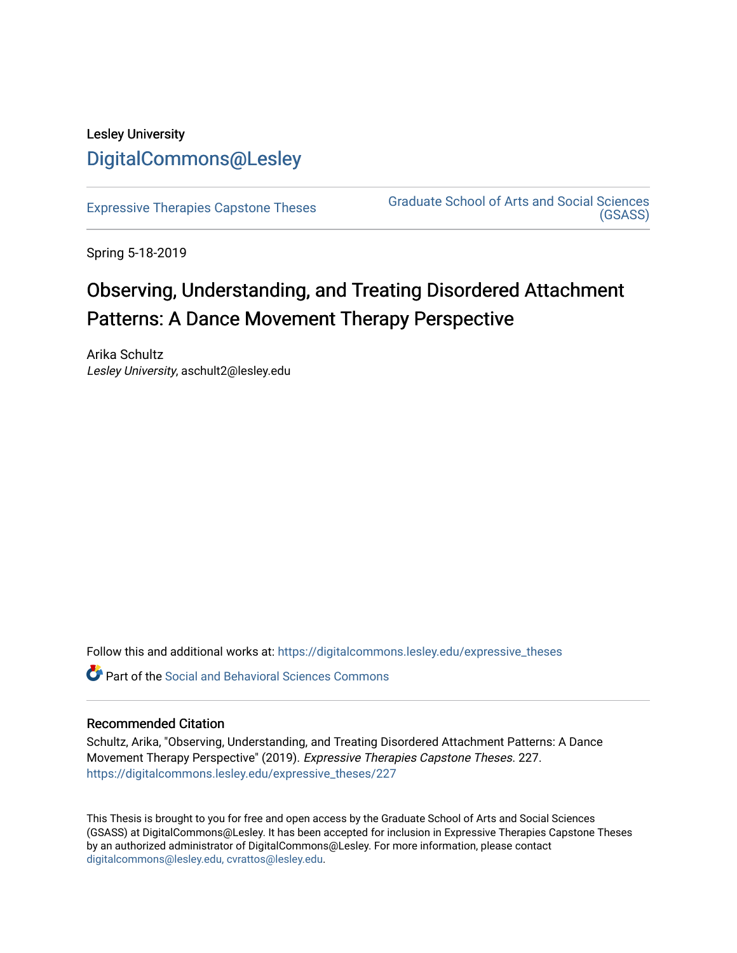# Lesley University [DigitalCommons@Lesley](https://digitalcommons.lesley.edu/)

[Expressive Therapies Capstone Theses](https://digitalcommons.lesley.edu/expressive_theses) Graduate School of Arts and Social Sciences [\(GSASS\)](https://digitalcommons.lesley.edu/gsass) 

Spring 5-18-2019

# Observing, Understanding, and Treating Disordered Attachment Patterns: A Dance Movement Therapy Perspective

Arika Schultz Lesley University, aschult2@lesley.edu

Follow this and additional works at: [https://digitalcommons.lesley.edu/expressive\\_theses](https://digitalcommons.lesley.edu/expressive_theses?utm_source=digitalcommons.lesley.edu%2Fexpressive_theses%2F227&utm_medium=PDF&utm_campaign=PDFCoverPages)

Part of the [Social and Behavioral Sciences Commons](http://network.bepress.com/hgg/discipline/316?utm_source=digitalcommons.lesley.edu%2Fexpressive_theses%2F227&utm_medium=PDF&utm_campaign=PDFCoverPages) 

# Recommended Citation

Schultz, Arika, "Observing, Understanding, and Treating Disordered Attachment Patterns: A Dance Movement Therapy Perspective" (2019). Expressive Therapies Capstone Theses. 227. [https://digitalcommons.lesley.edu/expressive\\_theses/227](https://digitalcommons.lesley.edu/expressive_theses/227?utm_source=digitalcommons.lesley.edu%2Fexpressive_theses%2F227&utm_medium=PDF&utm_campaign=PDFCoverPages)

This Thesis is brought to you for free and open access by the Graduate School of Arts and Social Sciences (GSASS) at DigitalCommons@Lesley. It has been accepted for inclusion in Expressive Therapies Capstone Theses by an authorized administrator of DigitalCommons@Lesley. For more information, please contact [digitalcommons@lesley.edu, cvrattos@lesley.edu](mailto:digitalcommons@lesley.edu,%20cvrattos@lesley.edu).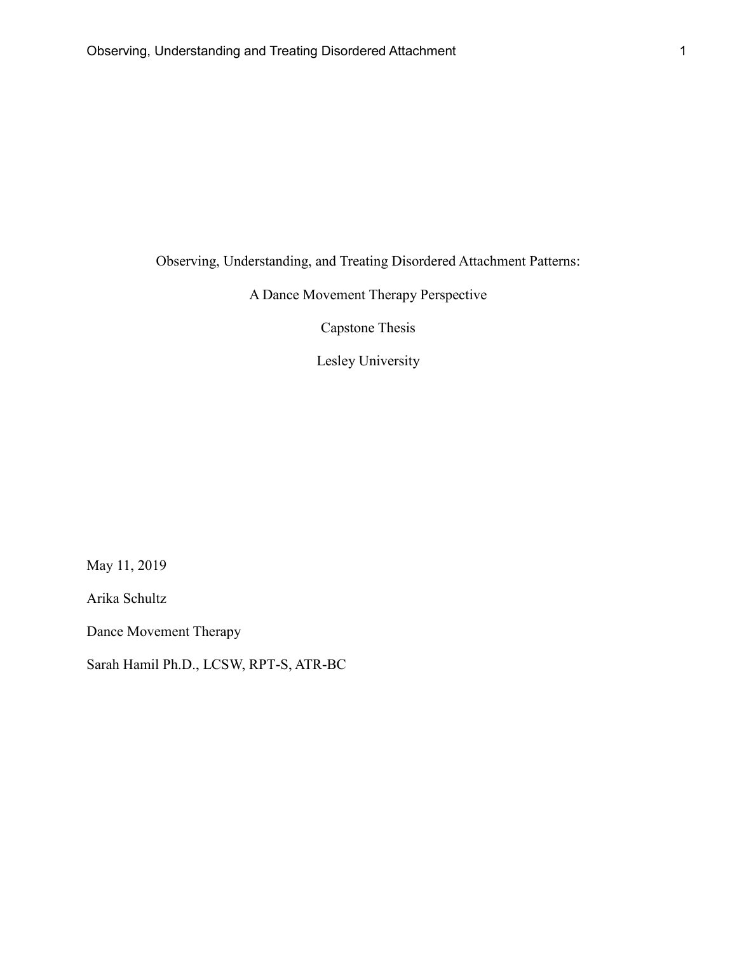Observing, Understanding, and Treating Disordered Attachment Patterns:

A Dance Movement Therapy Perspective

Capstone Thesis

Lesley University

May 11, 2019

Arika Schultz

Dance Movement Therapy

Sarah Hamil Ph.D., LCSW, RPT-S, ATR-BC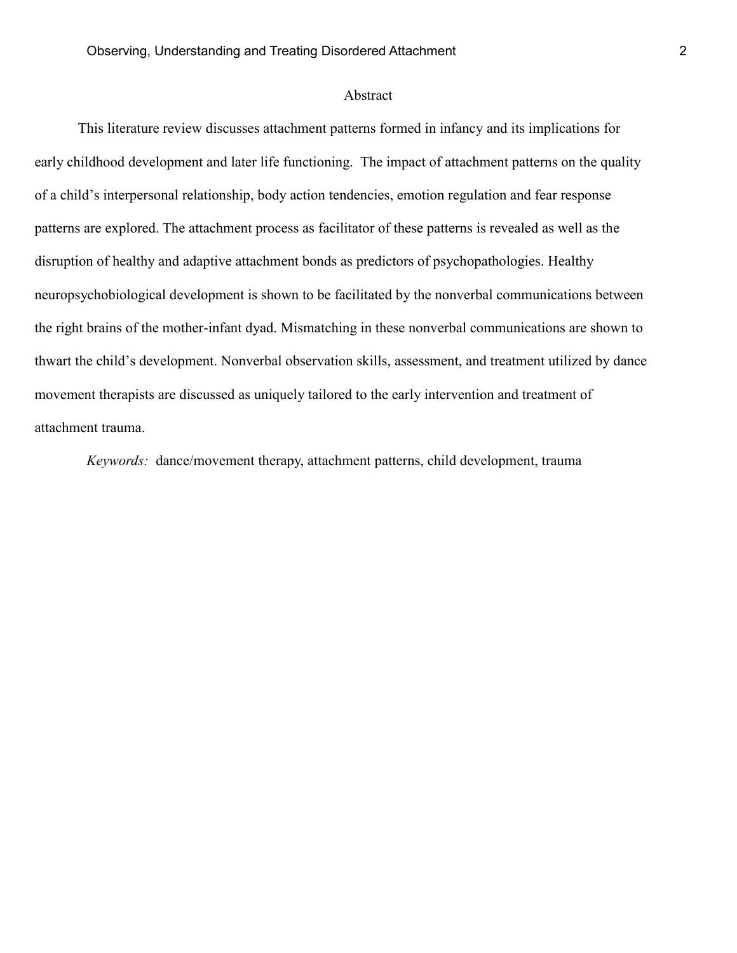# Abstract

This literature review discusses attachment patterns formed in infancy and its implications for early childhood development and later life functioning. The impact of attachment patterns on the quality of a child's interpersonal relationship, body action tendencies, emotion regulation and fear response patterns are explored. The attachment process as facilitator of these patterns is revealed as well as the disruption of healthy and adaptive attachment bonds as predictors of psychopathologies. Healthy neuropsychobiological development is shown to be facilitated by the nonverbal communications between the right brains of the mother-infant dyad. Mismatching in these nonverbal communications are shown to thwart the child's development. Nonverbal observation skills, assessment, and treatment utilized by dance movement therapists are discussed as uniquely tailored to the early intervention and treatment of attachment trauma.

*Keywords:* dance/movement therapy, attachment patterns, child development, trauma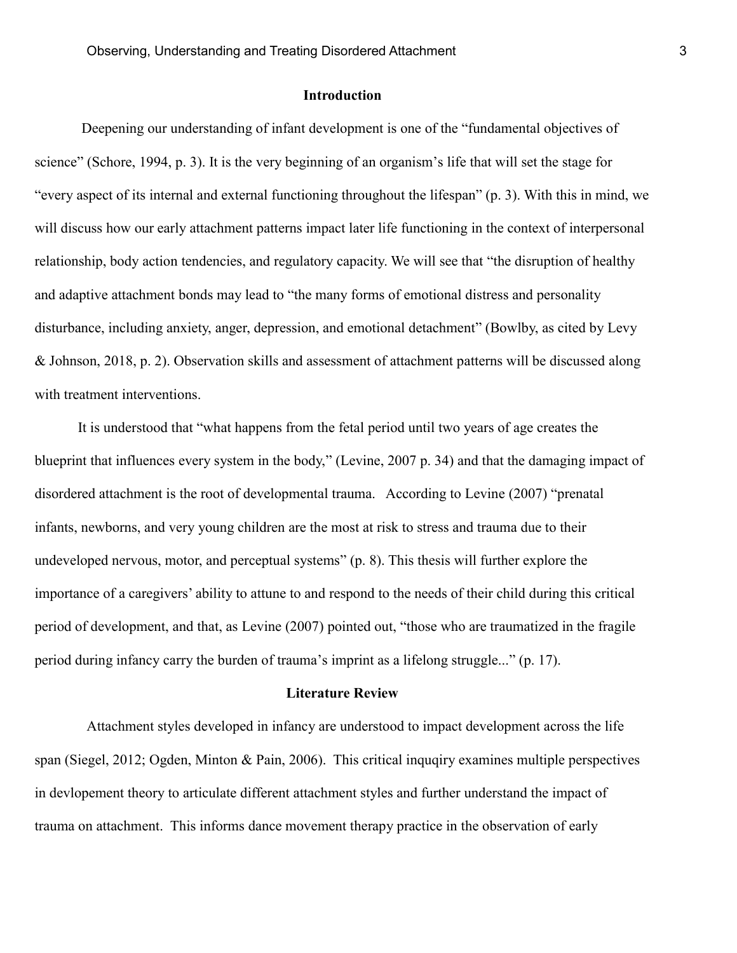# **Introduction**

Deepening our understanding of infant development is one of the "fundamental objectives of science" (Schore, 1994, p. 3). It is the very beginning of an organism's life that will set the stage for "every aspect of its internal and external functioning throughout the lifespan" (p. 3). With this in mind, we will discuss how our early attachment patterns impact later life functioning in the context of interpersonal relationship, body action tendencies, and regulatory capacity. We will see that "the disruption of healthy and adaptive attachment bonds may lead to "the many forms of emotional distress and personality disturbance, including anxiety, anger, depression, and emotional detachment" (Bowlby, as cited by Levy & Johnson, 2018, p. 2). Observation skills and assessment of attachment patterns will be discussed along with treatment interventions.

It is understood that "what happens from the fetal period until two years of age creates the blueprint that influences every system in the body," (Levine, 2007 p. 34) and that the damaging impact of disordered attachment is the root of developmental trauma. According to Levine (2007) "prenatal infants, newborns, and very young children are the most at risk to stress and trauma due to their undeveloped nervous, motor, and perceptual systems" (p. 8). This thesis will further explore the importance of a caregivers' ability to attune to and respond to the needs of their child during this critical period of development, and that, as Levine (2007) pointed out, "those who are traumatized in the fragile period during infancy carry the burden of trauma's imprint as a lifelong struggle..." (p. 17).

#### **Literature Review**

Attachment styles developed in infancy are understood to impact development across the life span (Siegel, 2012; Ogden, Minton & Pain, 2006). This critical inquqiry examines multiple perspectives in devlopement theory to articulate different attachment styles and further understand the impact of trauma on attachment. This informs dance movement therapy practice in the observation of early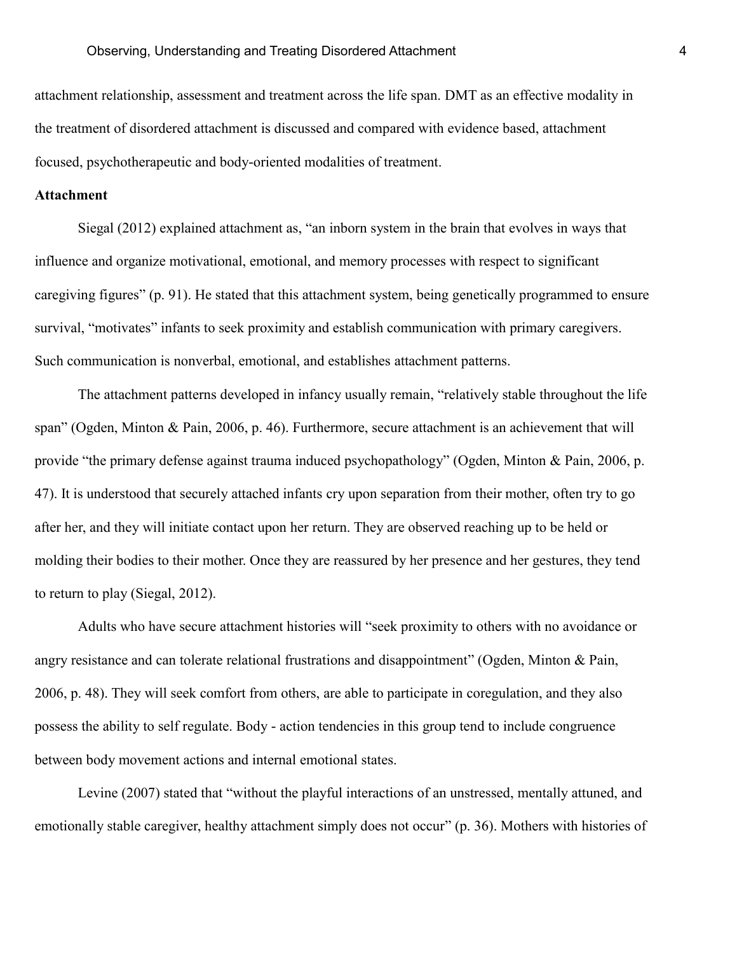attachment relationship, assessment and treatment across the life span. DMT as an effective modality in the treatment of disordered attachment is discussed and compared with evidence based, attachment focused, psychotherapeutic and body-oriented modalities of treatment.

# **Attachment**

Siegal (2012) explained attachment as, "an inborn system in the brain that evolves in ways that influence and organize motivational, emotional, and memory processes with respect to significant caregiving figures" (p. 91). He stated that this attachment system, being genetically programmed to ensure survival, "motivates" infants to seek proximity and establish communication with primary caregivers. Such communication is nonverbal, emotional, and establishes attachment patterns.

The attachment patterns developed in infancy usually remain, "relatively stable throughout the life span" (Ogden, Minton & Pain, 2006, p. 46). Furthermore, secure attachment is an achievement that will provide "the primary defense against trauma induced psychopathology" (Ogden, Minton & Pain, 2006, p. 47). It is understood that securely attached infants cry upon separation from their mother, often try to go after her, and they will initiate contact upon her return. They are observed reaching up to be held or molding their bodies to their mother. Once they are reassured by her presence and her gestures, they tend to return to play (Siegal, 2012).

Adults who have secure attachment histories will "seek proximity to others with no avoidance or angry resistance and can tolerate relational frustrations and disappointment" (Ogden, Minton & Pain, 2006, p. 48). They will seek comfort from others, are able to participate in coregulation, and they also possess the ability to self regulate. Body - action tendencies in this group tend to include congruence between body movement actions and internal emotional states.

Levine (2007) stated that "without the playful interactions of an unstressed, mentally attuned, and emotionally stable caregiver, healthy attachment simply does not occur" (p. 36). Mothers with histories of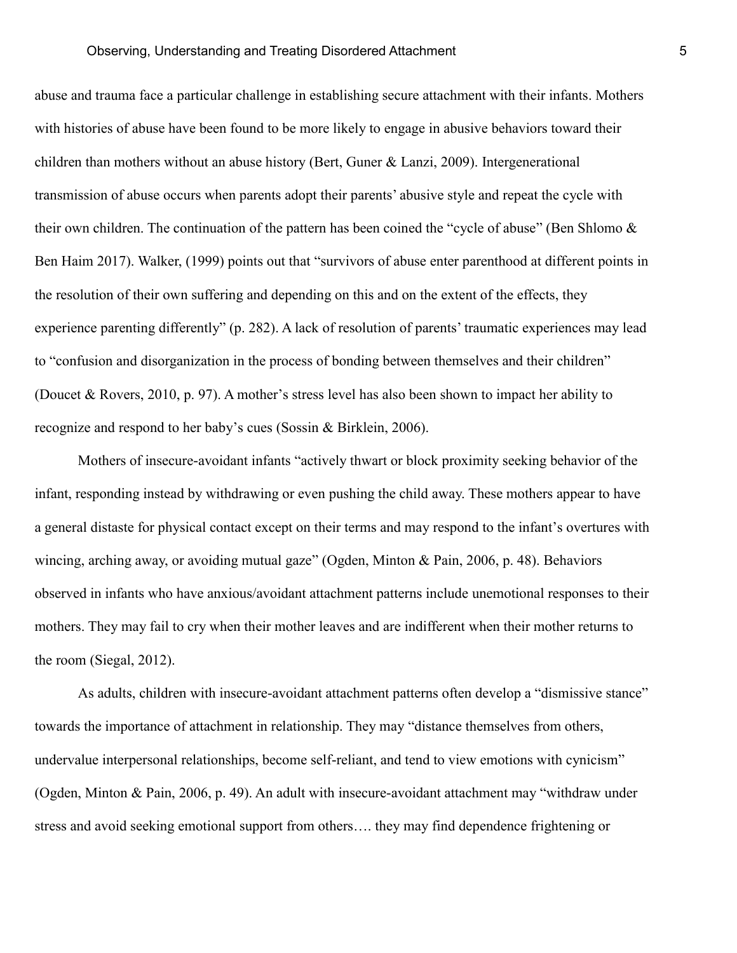abuse and trauma face a particular challenge in establishing secure attachment with their infants. Mothers with histories of abuse have been found to be more likely to engage in abusive behaviors toward their children than mothers without an abuse history (Bert, Guner & Lanzi, 2009). Intergenerational transmission of abuse occurs when parents adopt their parents' abusive style and repeat the cycle with their own children. The continuation of the pattern has been coined the "cycle of abuse" (Ben Shlomo & Ben Haim 2017). Walker, (1999) points out that "survivors of abuse enter parenthood at different points in the resolution of their own suffering and depending on this and on the extent of the effects, they experience parenting differently" (p. 282). A lack of resolution of parents' traumatic experiences may lead to "confusion and disorganization in the process of bonding between themselves and their children" (Doucet & Rovers, 2010, p. 97). A mother's stress level has also been shown to impact her ability to recognize and respond to her baby's cues (Sossin & Birklein, 2006).

Mothers of insecure-avoidant infants "actively thwart or block proximity seeking behavior of the infant, responding instead by withdrawing or even pushing the child away. These mothers appear to have a general distaste for physical contact except on their terms and may respond to the infant's overtures with wincing, arching away, or avoiding mutual gaze" (Ogden, Minton & Pain, 2006, p. 48). Behaviors observed in infants who have anxious/avoidant attachment patterns include unemotional responses to their mothers. They may fail to cry when their mother leaves and are indifferent when their mother returns to the room (Siegal, 2012).

As adults, children with insecure-avoidant attachment patterns often develop a "dismissive stance" towards the importance of attachment in relationship. They may "distance themselves from others, undervalue interpersonal relationships, become self-reliant, and tend to view emotions with cynicism" (Ogden, Minton & Pain, 2006, p. 49). An adult with insecure-avoidant attachment may "withdraw under stress and avoid seeking emotional support from others…. they may find dependence frightening or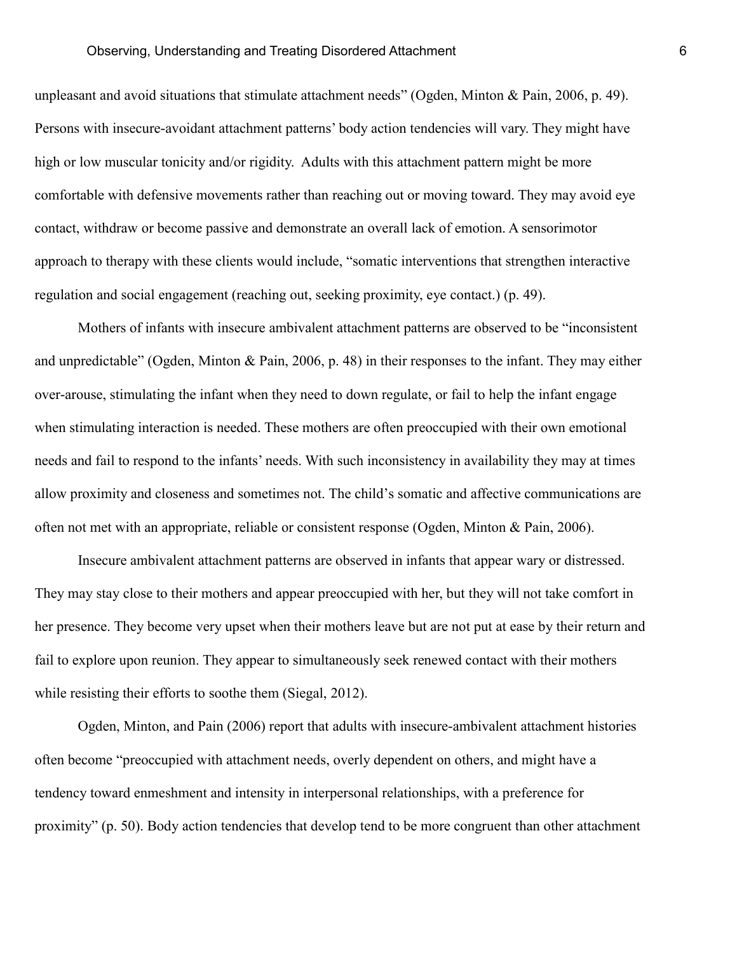unpleasant and avoid situations that stimulate attachment needs" (Ogden, Minton & Pain, 2006, p. 49). Persons with insecure-avoidant attachment patterns' body action tendencies will vary. They might have high or low muscular tonicity and/or rigidity. Adults with this attachment pattern might be more comfortable with defensive movements rather than reaching out or moving toward. They may avoid eye contact, withdraw or become passive and demonstrate an overall lack of emotion. A sensorimotor approach to therapy with these clients would include, "somatic interventions that strengthen interactive regulation and social engagement (reaching out, seeking proximity, eye contact.) (p. 49).

Mothers of infants with insecure ambivalent attachment patterns are observed to be "inconsistent and unpredictable" (Ogden, Minton & Pain, 2006, p. 48) in their responses to the infant. They may either over-arouse, stimulating the infant when they need to down regulate, or fail to help the infant engage when stimulating interaction is needed. These mothers are often preoccupied with their own emotional needs and fail to respond to the infants' needs. With such inconsistency in availability they may at times allow proximity and closeness and sometimes not. The child's somatic and affective communications are often not met with an appropriate, reliable or consistent response (Ogden, Minton & Pain, 2006).

Insecure ambivalent attachment patterns are observed in infants that appear wary or distressed. They may stay close to their mothers and appear preoccupied with her, but they will not take comfort in her presence. They become very upset when their mothers leave but are not put at ease by their return and fail to explore upon reunion. They appear to simultaneously seek renewed contact with their mothers while resisting their efforts to soothe them (Siegal, 2012).

Ogden, Minton, and Pain (2006) report that adults with insecure-ambivalent attachment histories often become "preoccupied with attachment needs, overly dependent on others, and might have a tendency toward enmeshment and intensity in interpersonal relationships, with a preference for proximity" (p. 50). Body action tendencies that develop tend to be more congruent than other attachment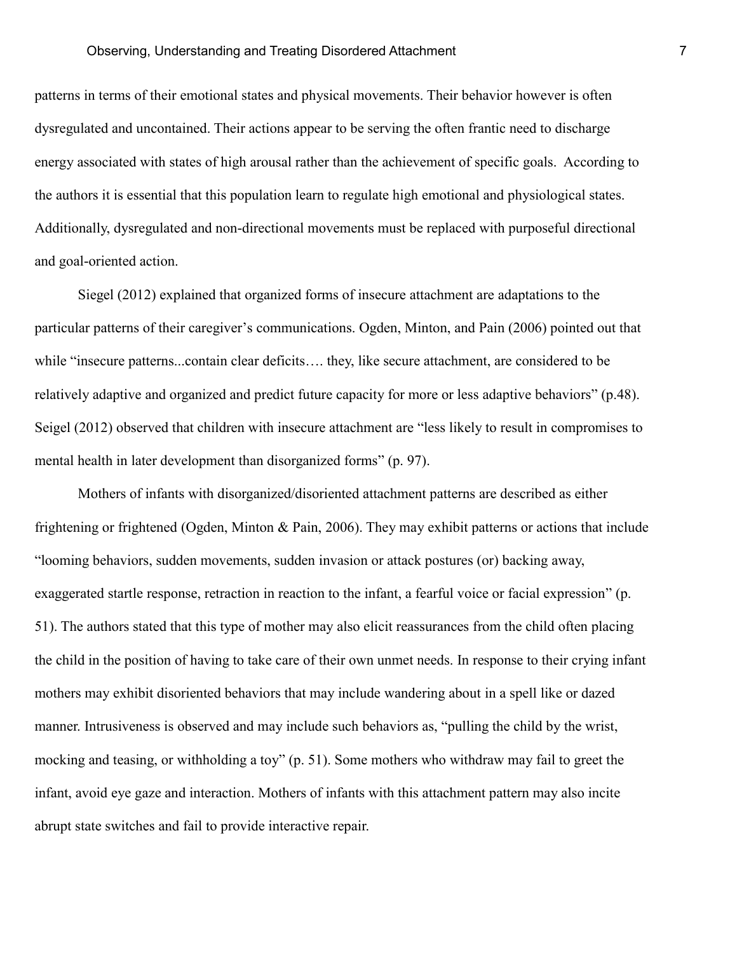patterns in terms of their emotional states and physical movements. Their behavior however is often dysregulated and uncontained. Their actions appear to be serving the often frantic need to discharge energy associated with states of high arousal rather than the achievement of specific goals. According to the authors it is essential that this population learn to regulate high emotional and physiological states. Additionally, dysregulated and non-directional movements must be replaced with purposeful directional and goal-oriented action.

Siegel (2012) explained that organized forms of insecure attachment are adaptations to the particular patterns of their caregiver's communications. Ogden, Minton, and Pain (2006) pointed out that while "insecure patterns...contain clear deficits…. they, like secure attachment, are considered to be relatively adaptive and organized and predict future capacity for more or less adaptive behaviors" (p.48). Seigel (2012) observed that children with insecure attachment are "less likely to result in compromises to mental health in later development than disorganized forms" (p. 97).

Mothers of infants with disorganized/disoriented attachment patterns are described as either frightening or frightened (Ogden, Minton & Pain, 2006). They may exhibit patterns or actions that include "looming behaviors, sudden movements, sudden invasion or attack postures (or) backing away, exaggerated startle response, retraction in reaction to the infant, a fearful voice or facial expression" (p. 51). The authors stated that this type of mother may also elicit reassurances from the child often placing the child in the position of having to take care of their own unmet needs. In response to their crying infant mothers may exhibit disoriented behaviors that may include wandering about in a spell like or dazed manner. Intrusiveness is observed and may include such behaviors as, "pulling the child by the wrist, mocking and teasing, or withholding a toy" (p. 51). Some mothers who withdraw may fail to greet the infant, avoid eye gaze and interaction. Mothers of infants with this attachment pattern may also incite abrupt state switches and fail to provide interactive repair.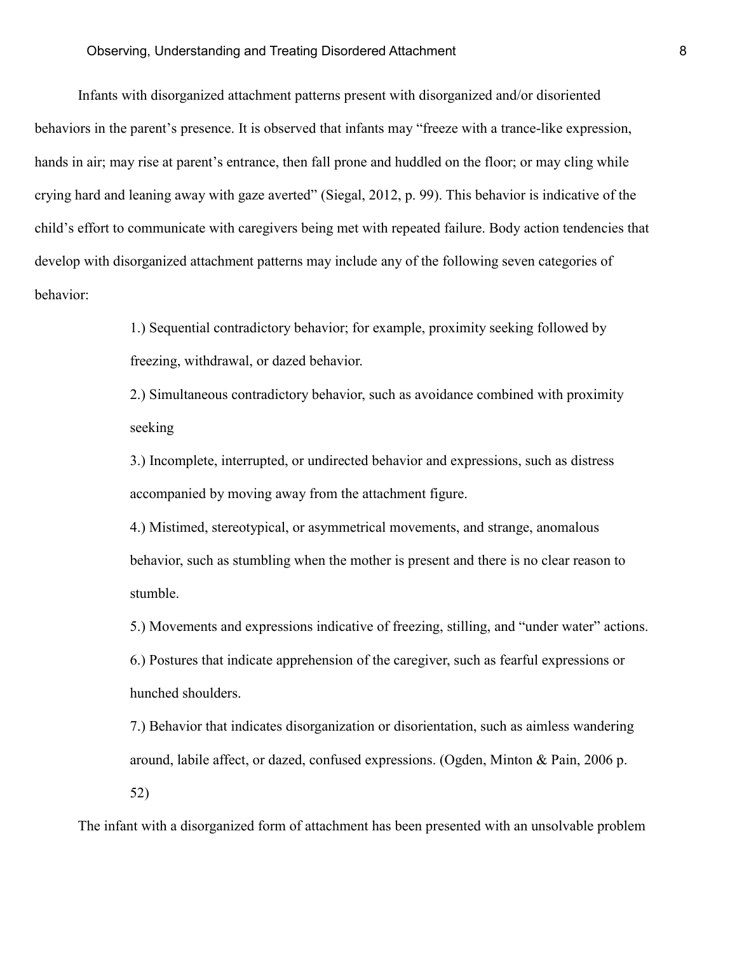Infants with disorganized attachment patterns present with disorganized and/or disoriented behaviors in the parent's presence. It is observed that infants may "freeze with a trance-like expression, hands in air; may rise at parent's entrance, then fall prone and huddled on the floor; or may cling while crying hard and leaning away with gaze averted" (Siegal, 2012, p. 99). This behavior is indicative of the child's effort to communicate with caregivers being met with repeated failure. Body action tendencies that develop with disorganized attachment patterns may include any of the following seven categories of behavior:

> 1.) Sequential contradictory behavior; for example, proximity seeking followed by freezing, withdrawal, or dazed behavior.

2.) Simultaneous contradictory behavior, such as avoidance combined with proximity seeking

3.) Incomplete, interrupted, or undirected behavior and expressions, such as distress accompanied by moving away from the attachment figure.

4.) Mistimed, stereotypical, or asymmetrical movements, and strange, anomalous behavior, such as stumbling when the mother is present and there is no clear reason to stumble.

5.) Movements and expressions indicative of freezing, stilling, and "under water" actions. 6.) Postures that indicate apprehension of the caregiver, such as fearful expressions or hunched shoulders.

7.) Behavior that indicates disorganization or disorientation, such as aimless wandering around, labile affect, or dazed, confused expressions. (Ogden, Minton & Pain, 2006 p. 52)

The infant with a disorganized form of attachment has been presented with an unsolvable problem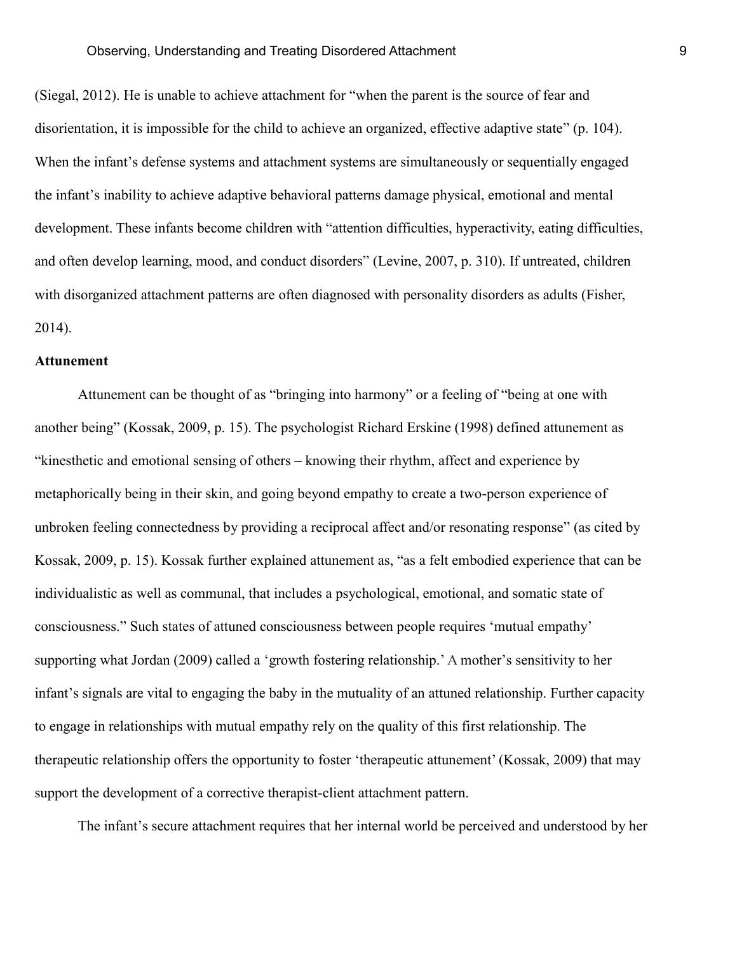(Siegal, 2012). He is unable to achieve attachment for "when the parent is the source of fear and disorientation, it is impossible for the child to achieve an organized, effective adaptive state" (p. 104). When the infant's defense systems and attachment systems are simultaneously or sequentially engaged the infant's inability to achieve adaptive behavioral patterns damage physical, emotional and mental development. These infants become children with "attention difficulties, hyperactivity, eating difficulties, and often develop learning, mood, and conduct disorders" (Levine, 2007, p. 310). If untreated, children with disorganized attachment patterns are often diagnosed with personality disorders as adults (Fisher, 2014).

## **Attunement**

Attunement can be thought of as "bringing into harmony" or a feeling of "being at one with another being" (Kossak, 2009, p. 15). The psychologist Richard [Erskine \(1998\)](https://www-sciencedirect-com.ezproxyles.flo.org/science/article/pii/S019745560800083X#bib16) defined attunement as "kinesthetic and emotional sensing of others – knowing their rhythm, affect and experience by metaphorically being in their skin, and going beyond empathy to create a two-person experience of unbroken feeling connectedness by providing a reciprocal affect and/or resonating response" (as cited by Kossak, 2009, p. 15). Kossak further explained attunement as, "as a felt embodied experience that can be individualistic as well as communal, that includes a psychological, emotional, and somatic state of consciousness." Such states of attuned consciousness between people requires 'mutual empathy' supporting what Jordan (2009) called a 'growth fostering relationship.' A mother's sensitivity to her infant's signals are vital to engaging the baby in the mutuality of an attuned relationship. Further capacity to engage in relationships with mutual empathy rely on the quality of this first relationship. The therapeutic relationship offers the opportunity to foster 'therapeutic attunement' (Kossak, 2009) that may support the development of a corrective therapist-client attachment pattern.

The infant's secure attachment requires that her internal world be perceived and understood by her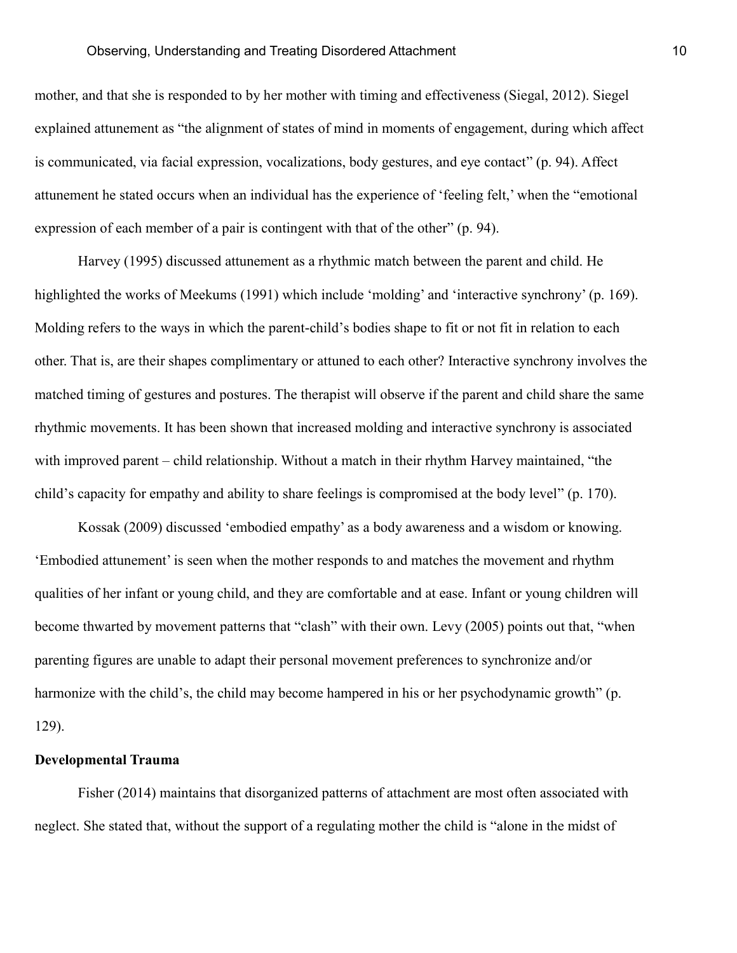mother, and that she is responded to by her mother with timing and effectiveness (Siegal, 2012). Siegel explained attunement as "the alignment of states of mind in moments of engagement, during which affect is communicated, via facial expression, vocalizations, body gestures, and eye contact" (p. 94). Affect attunement he stated occurs when an individual has the experience of 'feeling felt,' when the "emotional expression of each member of a pair is contingent with that of the other" (p. 94).

Harvey (1995) discussed attunement as a rhythmic match between the parent and child. He highlighted the works of Meekums (1991) which include 'molding' and 'interactive synchrony' (p. 169). Molding refers to the ways in which the parent-child's bodies shape to fit or not fit in relation to each other. That is, are their shapes complimentary or attuned to each other? Interactive synchrony involves the matched timing of gestures and postures. The therapist will observe if the parent and child share the same rhythmic movements. It has been shown that increased molding and interactive synchrony is associated with improved parent – child relationship. Without a match in their rhythm Harvey maintained, "the child's capacity for empathy and ability to share feelings is compromised at the body level" (p. 170).

Kossak (2009) discussed 'embodied empathy' as a body awareness and a wisdom or knowing. 'Embodied attunement' is seen when the mother responds to and matches the movement and rhythm qualities of her infant or young child, and they are comfortable and at ease. Infant or young children will become thwarted by movement patterns that "clash" with their own. Levy (2005) points out that, "when parenting figures are unable to adapt their personal movement preferences to synchronize and/or harmonize with the child's, the child may become hampered in his or her psychodynamic growth" (p. 129).

#### **Developmental Trauma**

Fisher (2014) maintains that disorganized patterns of attachment are most often associated with neglect. She stated that, without the support of a regulating mother the child is "alone in the midst of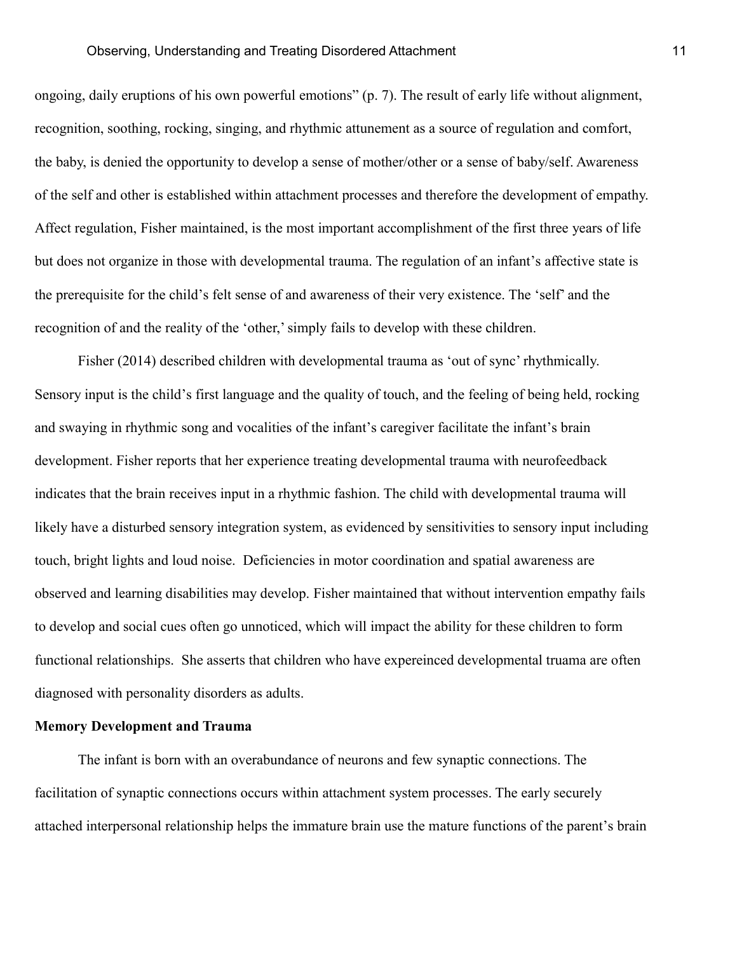ongoing, daily eruptions of his own powerful emotions" (p. 7). The result of early life without alignment, recognition, soothing, rocking, singing, and rhythmic attunement as a source of regulation and comfort, the baby, is denied the opportunity to develop a sense of mother/other or a sense of baby/self. Awareness of the self and other is established within attachment processes and therefore the development of empathy. Affect regulation, Fisher maintained, is the most important accomplishment of the first three years of life but does not organize in those with developmental trauma. The regulation of an infant's affective state is the prerequisite for the child's felt sense of and awareness of their very existence. The 'self' and the recognition of and the reality of the 'other,'simply fails to develop with these children.

Fisher (2014) described children with developmental trauma as 'out of sync' rhythmically. Sensory input is the child's first language and the quality of touch, and the feeling of being held, rocking and swaying in rhythmic song and vocalities of the infant's caregiver facilitate the infant's brain development. Fisher reports that her experience treating developmental trauma with neurofeedback indicates that the brain receives input in a rhythmic fashion. The child with developmental trauma will likely have a disturbed sensory integration system, as evidenced by sensitivities to sensory input including touch, bright lights and loud noise. Deficiencies in motor coordination and spatial awareness are observed and learning disabilities may develop. Fisher maintained that without intervention empathy fails to develop and social cues often go unnoticed, which will impact the ability for these children to form functional relationships. She asserts that children who have expereinced developmental truama are often diagnosed with personality disorders as adults.

#### **Memory Development and Trauma**

The infant is born with an overabundance of neurons and few synaptic connections. The facilitation of synaptic connections occurs within attachment system processes. The early securely attached interpersonal relationship helps the immature brain use the mature functions of the parent's brain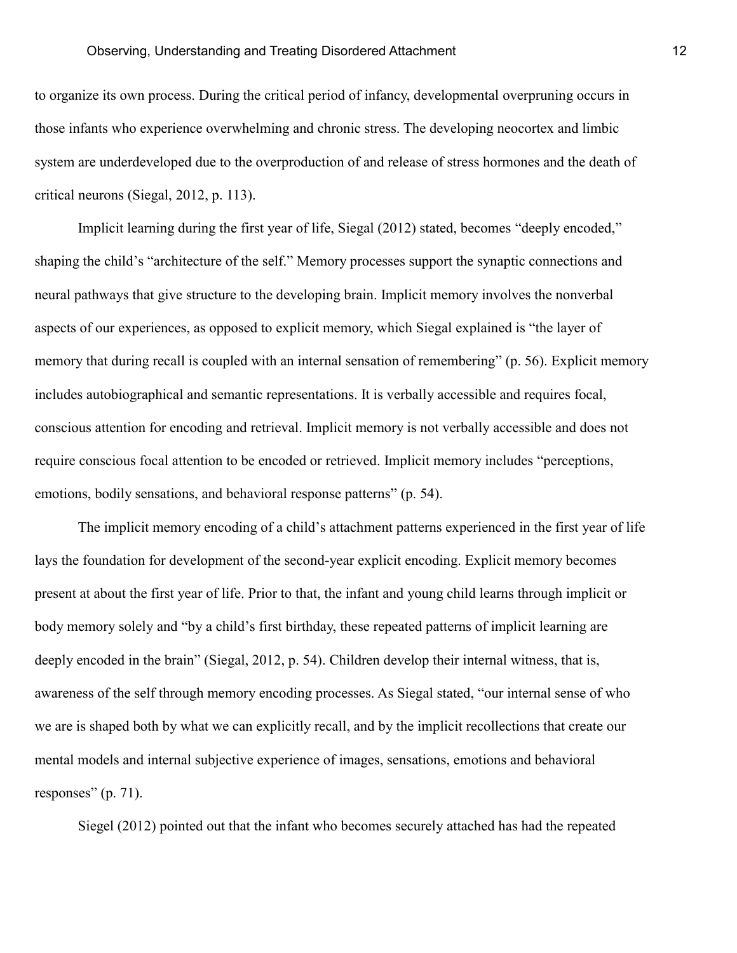to organize its own process. During the critical period of infancy, developmental overpruning occurs in those infants who experience overwhelming and chronic stress. The developing neocortex and limbic system are underdeveloped due to the overproduction of and release of stress hormones and the death of critical neurons (Siegal, 2012, p. 113).

Implicit learning during the first year of life, Siegal (2012) stated, becomes "deeply encoded," shaping the child's "architecture of the self." Memory processes support the synaptic connections and neural pathways that give structure to the developing brain. Implicit memory involves the nonverbal aspects of our experiences, as opposed to explicit memory, which Siegal explained is "the layer of memory that during recall is coupled with an internal sensation of remembering" (p. 56). Explicit memory includes autobiographical and semantic representations. It is verbally accessible and requires focal, conscious attention for encoding and retrieval. Implicit memory is not verbally accessible and does not require conscious focal attention to be encoded or retrieved. Implicit memory includes "perceptions, emotions, bodily sensations, and behavioral response patterns" (p. 54).

The implicit memory encoding of a child's attachment patterns experienced in the first year of life lays the foundation for development of the second-year explicit encoding. Explicit memory becomes present at about the first year of life. Prior to that, the infant and young child learns through implicit or body memory solely and "by a child's first birthday, these repeated patterns of implicit learning are deeply encoded in the brain" (Siegal, 2012, p. 54). Children develop their internal witness, that is, awareness of the self through memory encoding processes. As Siegal stated, "our internal sense of who we are is shaped both by what we can explicitly recall, and by the implicit recollections that create our mental models and internal subjective experience of images, sensations, emotions and behavioral responses" (p. 71).

Siegel (2012) pointed out that the infant who becomes securely attached has had the repeated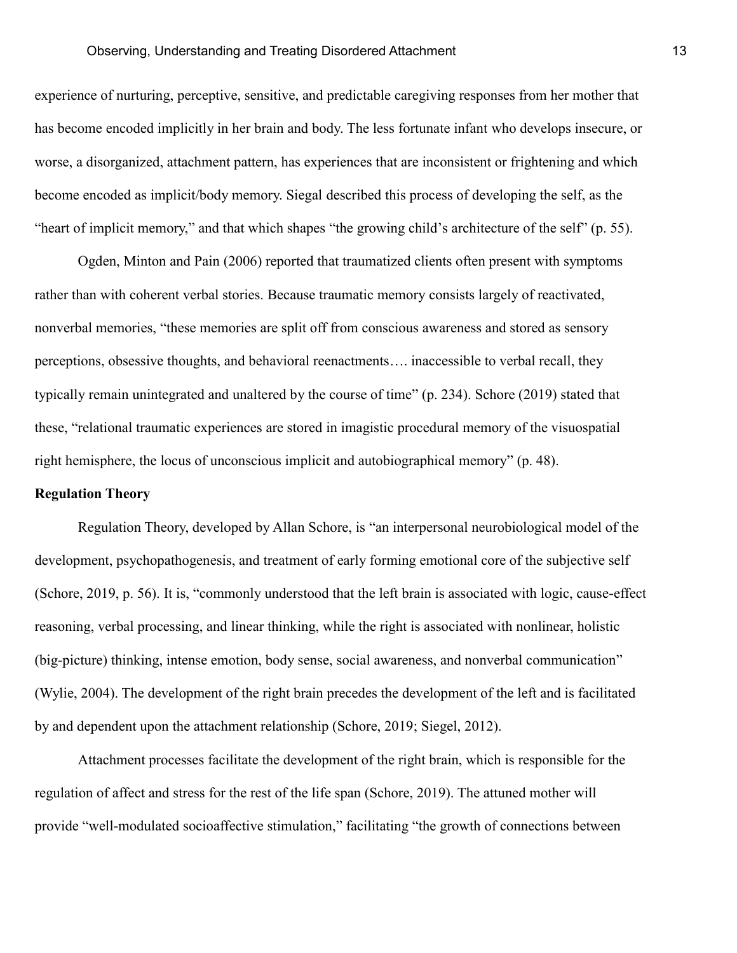experience of nurturing, perceptive, sensitive, and predictable caregiving responses from her mother that has become encoded implicitly in her brain and body. The less fortunate infant who develops insecure, or worse, a disorganized, attachment pattern, has experiences that are inconsistent or frightening and which become encoded as implicit/body memory. Siegal described this process of developing the self, as the "heart of implicit memory," and that which shapes "the growing child's architecture of the self" (p. 55).

Ogden, Minton and Pain (2006) reported that traumatized clients often present with symptoms rather than with coherent verbal stories. Because traumatic memory consists largely of reactivated, nonverbal memories, "these memories are split off from conscious awareness and stored as sensory perceptions, obsessive thoughts, and behavioral reenactments…. inaccessible to verbal recall, they typically remain unintegrated and unaltered by the course of time" (p. 234). Schore (2019) stated that these, "relational traumatic experiences are stored in imagistic procedural memory of the visuospatial right hemisphere, the locus of unconscious implicit and autobiographical memory" (p. 48).

#### **Regulation Theory**

Regulation Theory, developed by Allan Schore, is "an interpersonal neurobiological model of the development, psychopathogenesis, and treatment of early forming emotional core of the subjective self (Schore, 2019, p. 56). It is, "commonly understood that the left brain is associated with logic, cause-effect reasoning, verbal processing, and linear thinking, while the right is associated with nonlinear, holistic (big-picture) thinking, intense emotion, body sense, social awareness, and nonverbal communication" (Wylie, 2004). The development of the right brain precedes the development of the left and is facilitated by and dependent upon the attachment relationship (Schore, 2019; Siegel, 2012).

Attachment processes facilitate the development of the right brain, which is responsible for the regulation of affect and stress for the rest of the life span (Schore, 2019). The attuned mother will provide "well-modulated socioaffective stimulation," facilitating "the growth of connections between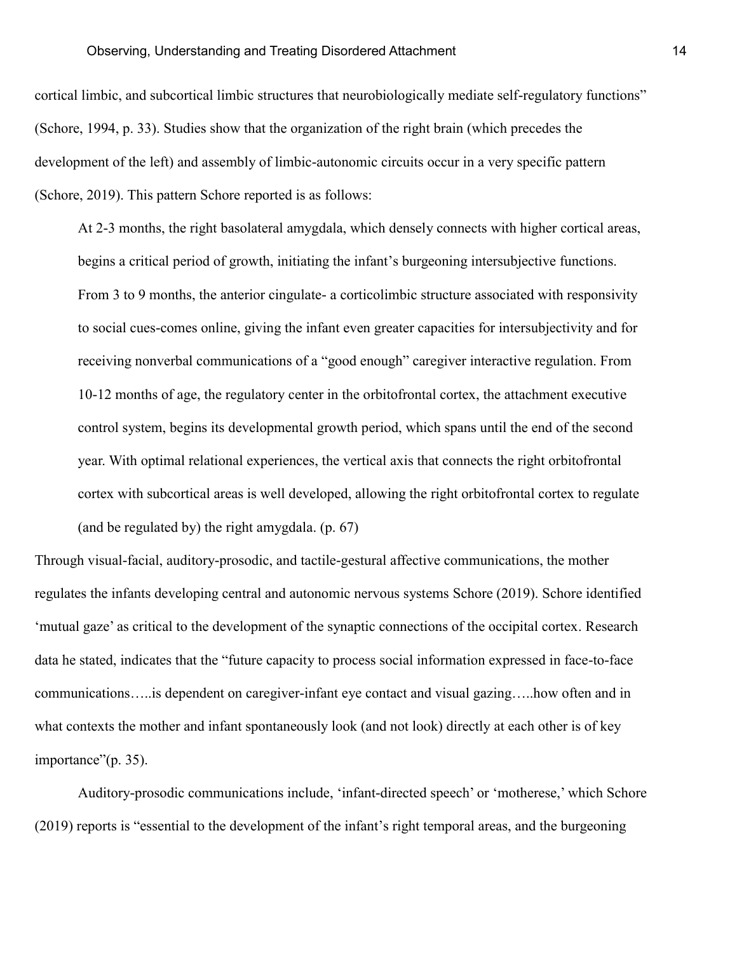cortical limbic, and subcortical limbic structures that neurobiologically mediate self-regulatory functions" (Schore, 1994, p. 33). Studies show that the organization of the right brain (which precedes the development of the left) and assembly of limbic-autonomic circuits occur in a very specific pattern (Schore, 2019). This pattern Schore reported is as follows:

At 2-3 months, the right basolateral amygdala, which densely connects with higher cortical areas, begins a critical period of growth, initiating the infant's burgeoning intersubjective functions. From 3 to 9 months, the anterior cingulate- a corticolimbic structure associated with responsivity to social cues-comes online, giving the infant even greater capacities for intersubjectivity and for receiving nonverbal communications of a "good enough" caregiver interactive regulation. From 10-12 months of age, the regulatory center in the orbitofrontal cortex, the attachment executive control system, begins its developmental growth period, which spans until the end of the second year. With optimal relational experiences, the vertical axis that connects the right orbitofrontal cortex with subcortical areas is well developed, allowing the right orbitofrontal cortex to regulate (and be regulated by) the right amygdala. (p. 67)

Through visual-facial, auditory-prosodic, and tactile-gestural affective communications, the mother regulates the infants developing central and autonomic nervous systems Schore (2019). Schore identified 'mutual gaze' as critical to the development of the synaptic connections of the occipital cortex. Research data he stated, indicates that the "future capacity to process social information expressed in face-to-face communications…..is dependent on caregiver-infant eye contact and visual gazing…..how often and in what contexts the mother and infant spontaneously look (and not look) directly at each other is of key importance"(p. 35).

Auditory-prosodic communications include, 'infant-directed speech' or 'motherese,' which Schore (2019) reports is "essential to the development of the infant's right temporal areas, and the burgeoning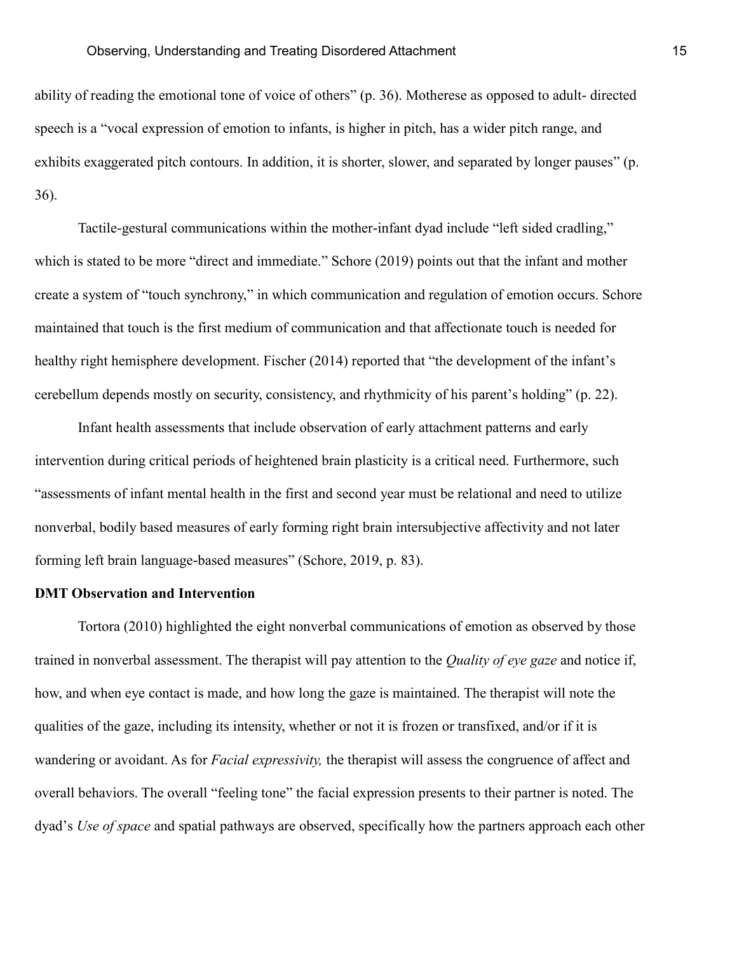ability of reading the emotional tone of voice of others" (p. 36). Motherese as opposed to adult- directed speech is a "vocal expression of emotion to infants, is higher in pitch, has a wider pitch range, and exhibits exaggerated pitch contours. In addition, it is shorter, slower, and separated by longer pauses" (p. 36).

Tactile-gestural communications within the mother-infant dyad include "left sided cradling," which is stated to be more "direct and immediate." Schore (2019) points out that the infant and mother create a system of "touch synchrony," in which communication and regulation of emotion occurs. Schore maintained that touch is the first medium of communication and that affectionate touch is needed for healthy right hemisphere development. Fischer (2014) reported that "the development of the infant's cerebellum depends mostly on security, consistency, and rhythmicity of his parent's holding" (p. 22).

Infant health assessments that include observation of early attachment patterns and early intervention during critical periods of heightened brain plasticity is a critical need. Furthermore, such "assessments of infant mental health in the first and second year must be relational and need to utilize nonverbal, bodily based measures of early forming right brain intersubjective affectivity and not later forming left brain language-based measures" (Schore, 2019, p. 83).

#### **DMT Observation and Intervention**

Tortora (2010) highlighted the eight nonverbal communications of emotion as observed by those trained in nonverbal assessment. The therapist will pay attention to the *Quality of eye gaze* and notice if, how, and when eye contact is made, and how long the gaze is maintained. The therapist will note the qualities of the gaze, including its intensity, whether or not it is frozen or transfixed, and/or if it is wandering or avoidant. As for *Facial expressivity,* the therapist will assess the congruence of affect and overall behaviors. The overall "feeling tone" the facial expression presents to their partner is noted. The dyad's *Use of space* and spatial pathways are observed, specifically how the partners approach each other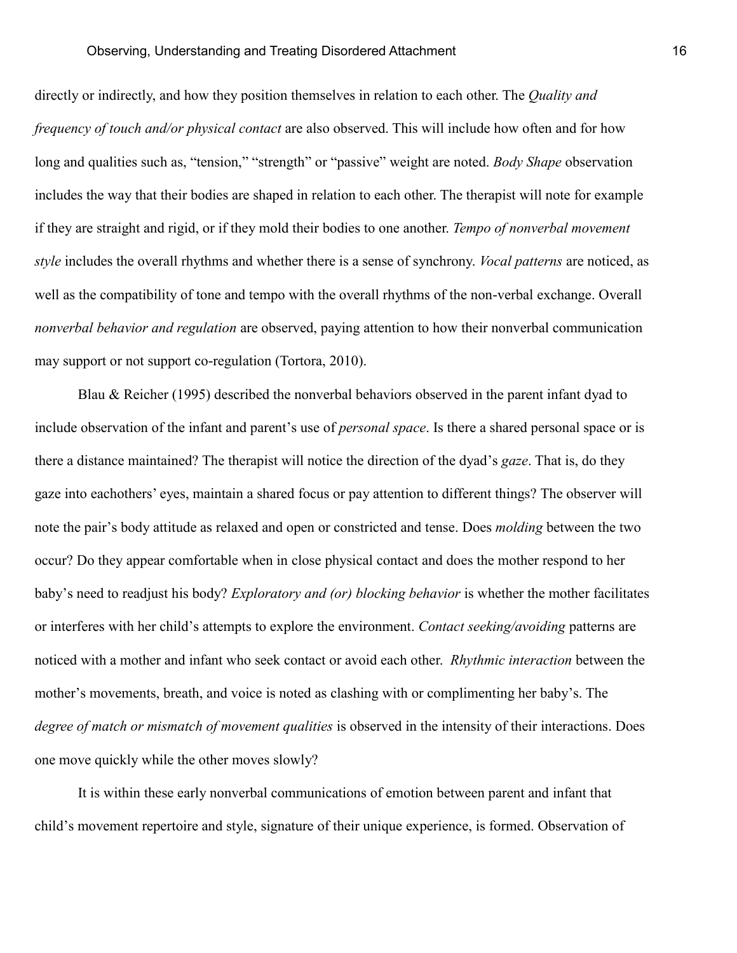directly or indirectly, and how they position themselves in relation to each other. The *Quality and frequency of touch and/or physical contact* are also observed. This will include how often and for how long and qualities such as, "tension," "strength" or "passive" weight are noted. *Body Shape* observation includes the way that their bodies are shaped in relation to each other. The therapist will note for example if they are straight and rigid, or if they mold their bodies to one another. *Tempo of nonverbal movement style* includes the overall rhythms and whether there is a sense of synchrony. *Vocal patterns* are noticed, as well as the compatibility of tone and tempo with the overall rhythms of the non-verbal exchange. Overall *nonverbal behavior and regulation* are observed, paying attention to how their nonverbal communication may support or not support co-regulation (Tortora, 2010).

Blau & Reicher (1995) described the nonverbal behaviors observed in the parent infant dyad to include observation of the infant and parent's use of *personal space*. Is there a shared personal space or is there a distance maintained? The therapist will notice the direction of the dyad's *gaze*. That is, do they gaze into eachothers' eyes, maintain a shared focus or pay attention to different things? The observer will note the pair's body attitude as relaxed and open or constricted and tense. Does *molding* between the two occur? Do they appear comfortable when in close physical contact and does the mother respond to her baby's need to readjust his body? *Exploratory and (or) blocking behavior* is whether the mother facilitates or interferes with her child's attempts to explore the environment. *Contact seeking/avoiding* patterns are noticed with a mother and infant who seek contact or avoid each other. *Rhythmic interaction* between the mother's movements, breath, and voice is noted as clashing with or complimenting her baby's. The *degree of match or mismatch of movement qualities* is observed in the intensity of their interactions. Does one move quickly while the other moves slowly?

It is within these early nonverbal communications of emotion between parent and infant that child's movement repertoire and style, signature of their unique experience, is formed. Observation of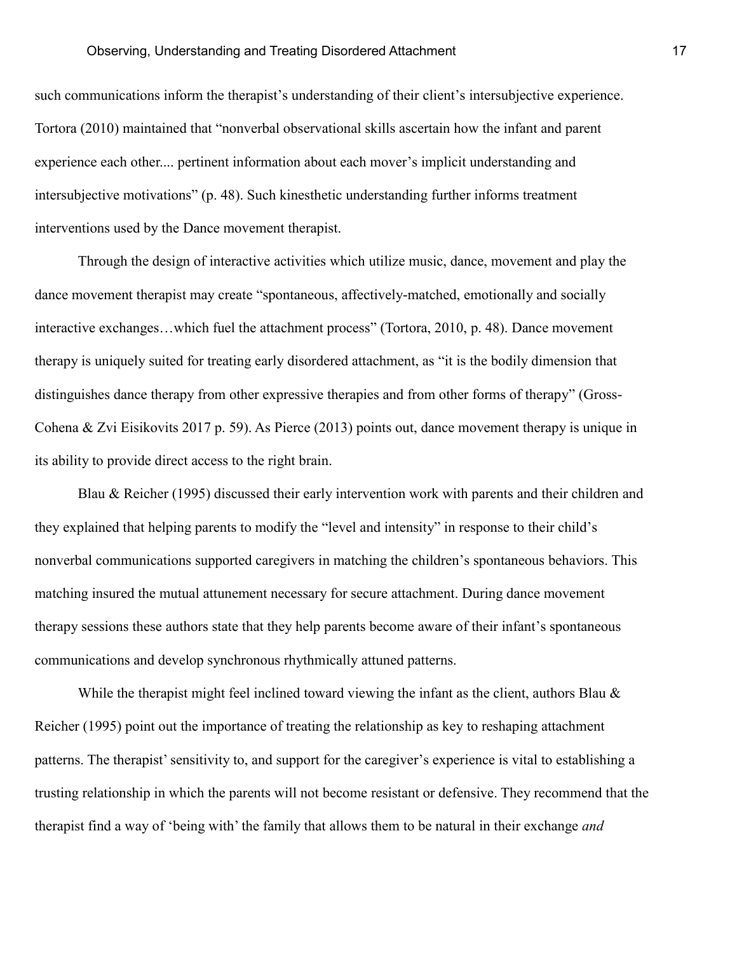such communications inform the therapist's understanding of their client's intersubjective experience. Tortora (2010) maintained that "nonverbal observational skills ascertain how the infant and parent experience each other.... pertinent information about each mover's implicit understanding and intersubjective motivations" (p. 48). Such kinesthetic understanding further informs treatment interventions used by the Dance movement therapist.

Through the design of interactive activities which utilize music, dance, movement and play the dance movement therapist may create "spontaneous, affectively-matched, emotionally and socially interactive exchanges…which fuel the attachment process" (Tortora, 2010, p. 48). Dance movement therapy is uniquely suited for treating early disordered attachment, as "it is the bodily dimension that distinguishes dance therapy from other expressive therapies and from other forms of therapy" (Gross-Cohena & Zvi Eisikovits 2017 p. 59). As Pierce (2013) points out, dance movement therapy is unique in its ability to provide direct access to the right brain.

Blau & Reicher (1995) discussed their early intervention work with parents and their children and they explained that helping parents to modify the "level and intensity" in response to their child's nonverbal communications supported caregivers in matching the children's spontaneous behaviors. This matching insured the mutual attunement necessary for secure attachment. During dance movement therapy sessions these authors state that they help parents become aware of their infant's spontaneous communications and develop synchronous rhythmically attuned patterns.

While the therapist might feel inclined toward viewing the infant as the client, authors Blau  $\&$ Reicher (1995) point out the importance of treating the relationship as key to reshaping attachment patterns. The therapist' sensitivity to, and support for the caregiver's experience is vital to establishing a trusting relationship in which the parents will not become resistant or defensive. They recommend that the therapist find a way of 'being with' the family that allows them to be natural in their exchange *and*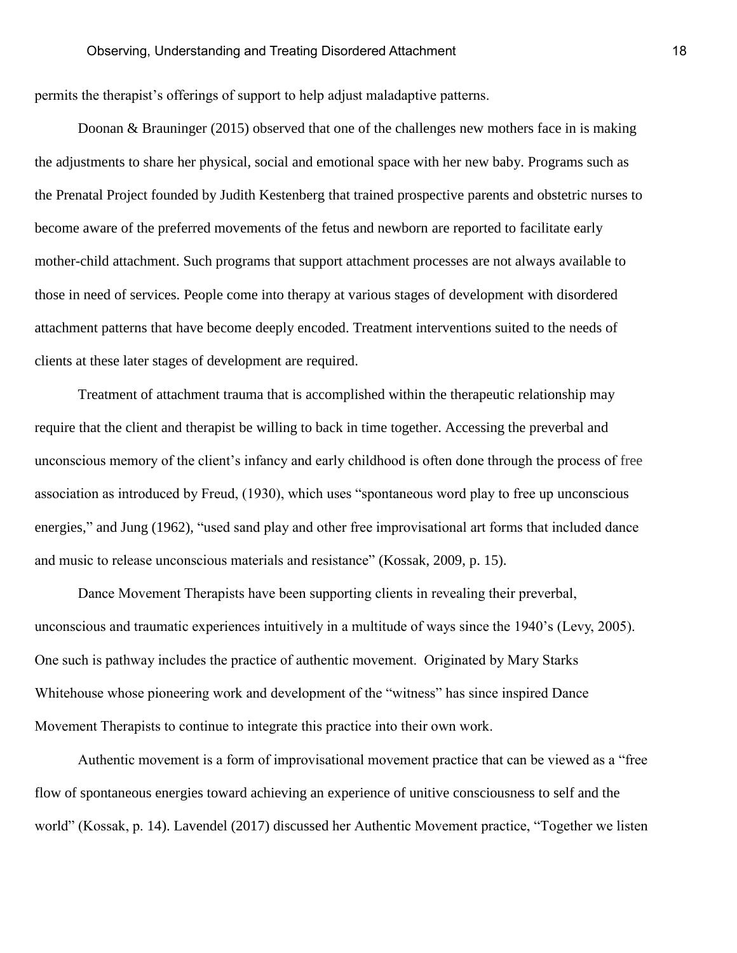permits the therapist's offerings of support to help adjust maladaptive patterns.

Doonan & Brauninger (2015) observed that one of the challenges new mothers face in is making the adjustments to share her physical, social and emotional space with her new baby. Programs such as the Prenatal Project founded by Judith Kestenberg that trained prospective parents and obstetric nurses to become aware of the preferred movements of the fetus and newborn are reported to facilitate early mother-child attachment. Such programs that support attachment processes are not always available to those in need of services. People come into therapy at various stages of development with disordered attachment patterns that have become deeply encoded. Treatment interventions suited to the needs of clients at these later stages of development are required.

Treatment of attachment trauma that is accomplished within the therapeutic relationship may require that the client and therapist be willing to back in time together. Accessing the preverbal and unconscious memory of the client's infancy and early childhood is often done through the process of free association as introduced by Freud, (1930), which uses "spontaneous word play to free up unconscious energies," and Jung (1962), "used sand play and other free improvisational art forms that included dance and music to release unconscious materials and resistance" (Kossak, 2009, p. 15).

Dance Movement Therapists have been supporting clients in revealing their preverbal, unconscious and traumatic experiences intuitively in a multitude of ways since the 1940's (Levy, 2005). One such is pathway includes the practice of authentic movement. Originated by Mary Starks Whitehouse whose pioneering work and development of the "witness" has since inspired Dance Movement Therapists to continue to integrate this practice into their own work.

Authentic movement is a form of improvisational movement practice that can be viewed as a "free flow of spontaneous energies toward achieving an experience of unitive consciousness to self and the world" (Kossak, p. 14). Lavendel (2017) discussed her Authentic Movement practice, "Together we listen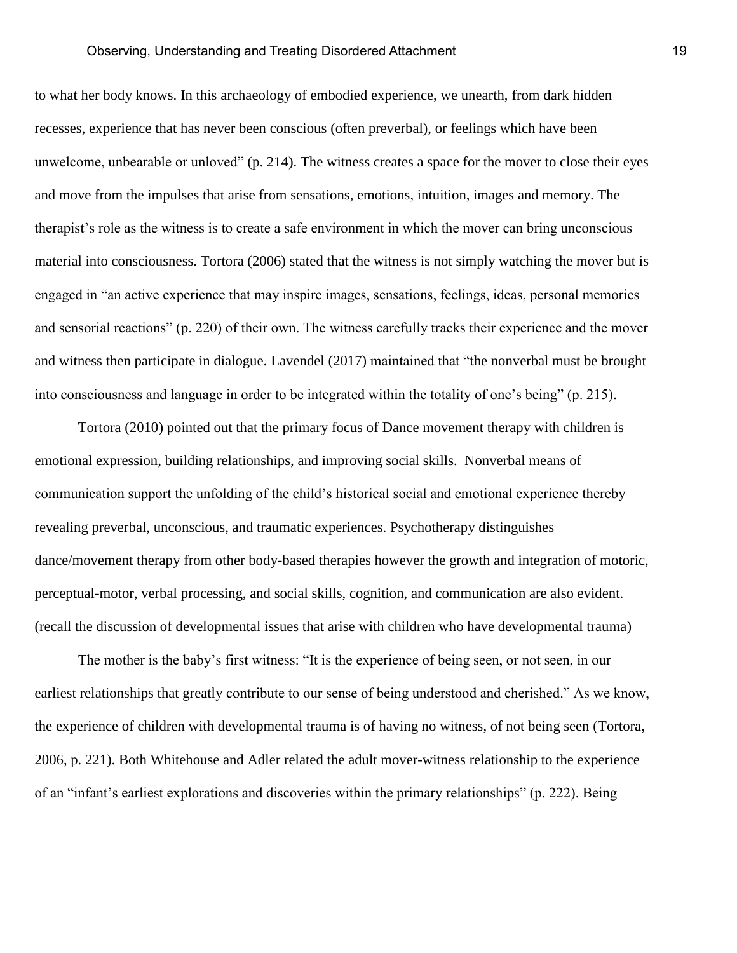to what her body knows. In this archaeology of embodied experience, we unearth, from dark hidden recesses, experience that has never been conscious (often preverbal), or feelings which have been unwelcome, unbearable or unloved" (p. 214). The witness creates a space for the mover to close their eyes and move from the impulses that arise from sensations, emotions, intuition, images and memory. The therapist's role as the witness is to create a safe environment in which the mover can bring unconscious material into consciousness. Tortora (2006) stated that the witness is not simply watching the mover but is engaged in "an active experience that may inspire images, sensations, feelings, ideas, personal memories and sensorial reactions" (p. 220) of their own. The witness carefully tracks their experience and the mover and witness then participate in dialogue. Lavendel (2017) maintained that "the nonverbal must be brought into consciousness and language in order to be integrated within the totality of one's being" (p. 215).

Tortora (2010) pointed out that the primary focus of Dance movement therapy with children is emotional expression, building relationships, and improving social skills. Nonverbal means of communication support the unfolding of the child's historical social and emotional experience thereby revealing preverbal, unconscious, and traumatic experiences. Psychotherapy distinguishes dance/movement therapy from other body-based therapies however the growth and integration of motoric, perceptual-motor, verbal processing, and social skills, cognition, and communication are also evident. (recall the discussion of developmental issues that arise with children who have developmental trauma)

The mother is the baby's first witness: "It is the experience of being seen, or not seen, in our earliest relationships that greatly contribute to our sense of being understood and cherished." As we know, the experience of children with developmental trauma is of having no witness, of not being seen (Tortora, 2006, p. 221). Both Whitehouse and Adler related the adult mover-witness relationship to the experience of an "infant's earliest explorations and discoveries within the primary relationships" (p. 222). Being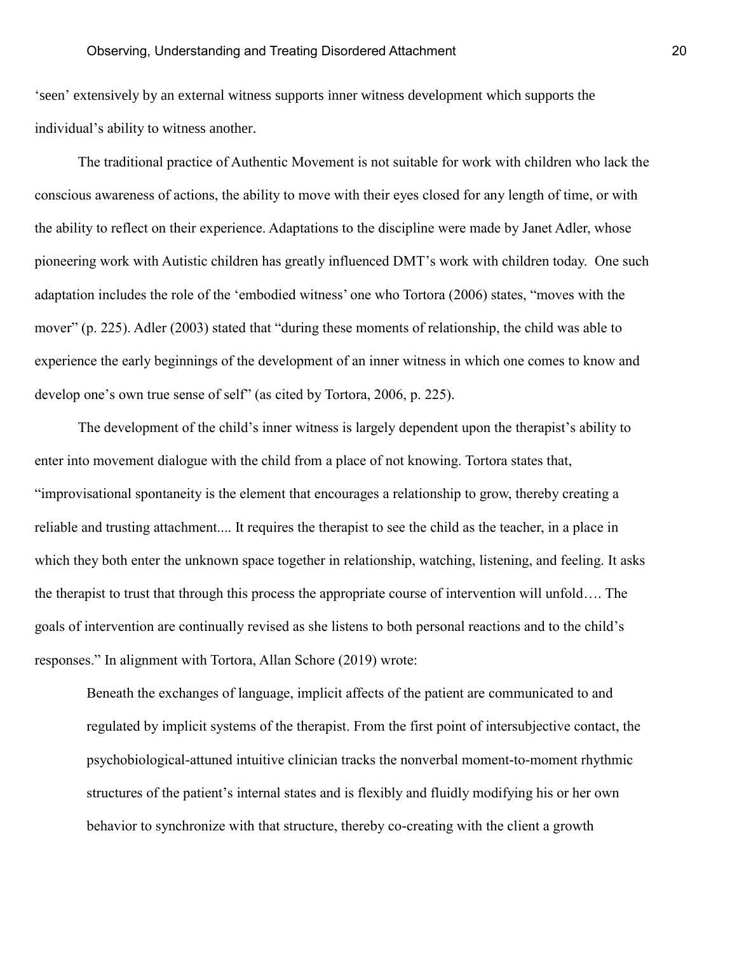'seen' extensively by an external witness supports inner witness development which supports the individual's ability to witness another.

The traditional practice of Authentic Movement is not suitable for work with children who lack the conscious awareness of actions, the ability to move with their eyes closed for any length of time, or with the ability to reflect on their experience. Adaptations to the discipline were made by Janet Adler, whose pioneering work with Autistic children has greatly influenced DMT's work with children today. One such adaptation includes the role of the 'embodied witness' one who Tortora (2006) states, "moves with the mover" (p. 225). Adler (2003) stated that "during these moments of relationship, the child was able to experience the early beginnings of the development of an inner witness in which one comes to know and develop one's own true sense of self" (as cited by Tortora, 2006, p. 225).

The development of the child's inner witness is largely dependent upon the therapist's ability to enter into movement dialogue with the child from a place of not knowing. Tortora states that, "improvisational spontaneity is the element that encourages a relationship to grow, thereby creating a reliable and trusting attachment.... It requires the therapist to see the child as the teacher, in a place in which they both enter the unknown space together in relationship, watching, listening, and feeling. It asks the therapist to trust that through this process the appropriate course of intervention will unfold…. The goals of intervention are continually revised as she listens to both personal reactions and to the child's responses." In alignment with Tortora, Allan Schore (2019) wrote:

Beneath the exchanges of language, implicit affects of the patient are communicated to and regulated by implicit systems of the therapist. From the first point of intersubjective contact, the psychobiological-attuned intuitive clinician tracks the nonverbal moment-to-moment rhythmic structures of the patient's internal states and is flexibly and fluidly modifying his or her own behavior to synchronize with that structure, thereby co-creating with the client a growth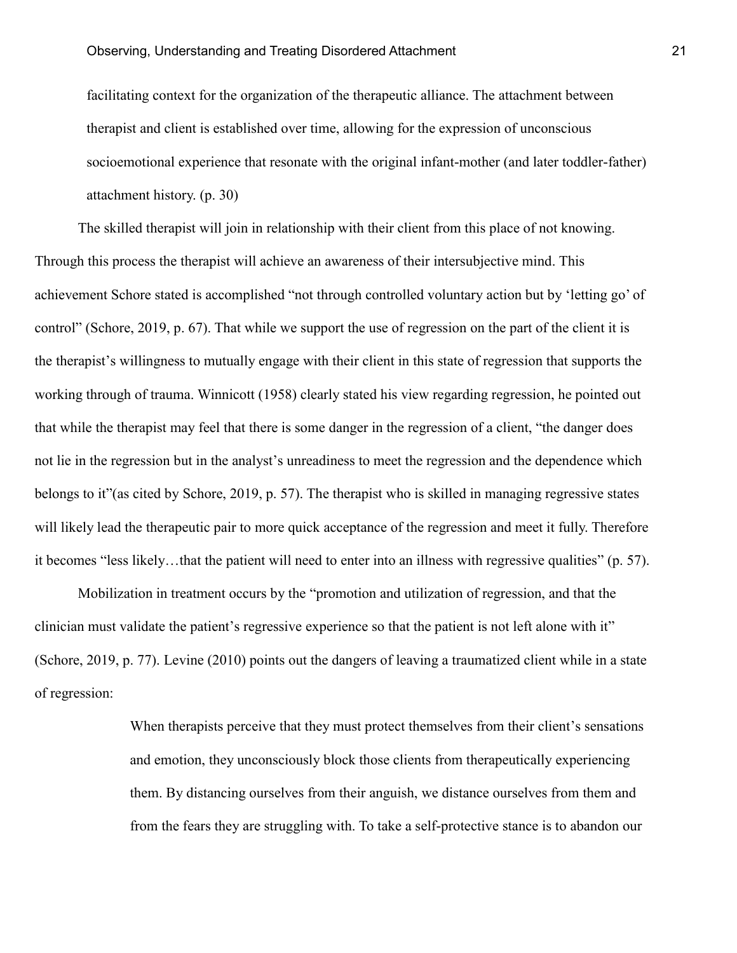facilitating context for the organization of the therapeutic alliance. The attachment between therapist and client is established over time, allowing for the expression of unconscious socioemotional experience that resonate with the original infant-mother (and later toddler-father) attachment history. (p. 30)

The skilled therapist will join in relationship with their client from this place of not knowing. Through this process the therapist will achieve an awareness of their intersubjective mind. This achievement Schore stated is accomplished "not through controlled voluntary action but by 'letting go' of control" (Schore, 2019, p. 67). That while we support the use of regression on the part of the client it is the therapist's willingness to mutually engage with their client in this state of regression that supports the working through of trauma. Winnicott (1958) clearly stated his view regarding regression, he pointed out that while the therapist may feel that there is some danger in the regression of a client, "the danger does not lie in the regression but in the analyst's unreadiness to meet the regression and the dependence which belongs to it"(as cited by Schore, 2019, p. 57). The therapist who is skilled in managing regressive states will likely lead the therapeutic pair to more quick acceptance of the regression and meet it fully. Therefore it becomes "less likely…that the patient will need to enter into an illness with regressive qualities" (p. 57).

Mobilization in treatment occurs by the "promotion and utilization of regression, and that the clinician must validate the patient's regressive experience so that the patient is not left alone with it" (Schore, 2019, p. 77). Levine (2010) points out the dangers of leaving a traumatized client while in a state of regression:

> When therapists perceive that they must protect themselves from their client's sensations and emotion, they unconsciously block those clients from therapeutically experiencing them. By distancing ourselves from their anguish, we distance ourselves from them and from the fears they are struggling with. To take a self-protective stance is to abandon our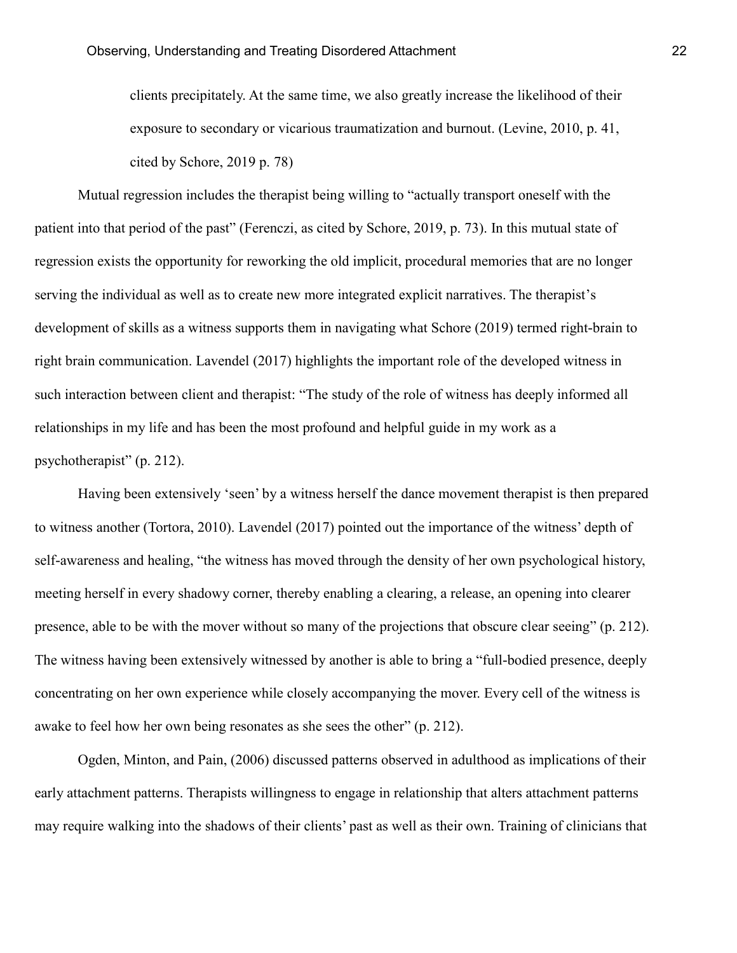clients precipitately. At the same time, we also greatly increase the likelihood of their exposure to secondary or vicarious traumatization and burnout. (Levine, 2010, p. 41, cited by Schore, 2019 p. 78)

Mutual regression includes the therapist being willing to "actually transport oneself with the patient into that period of the past" (Ferenczi, as cited by Schore, 2019, p. 73). In this mutual state of regression exists the opportunity for reworking the old implicit, procedural memories that are no longer serving the individual as well as to create new more integrated explicit narratives. The therapist's development of skills as a witness supports them in navigating what Schore (2019) termed right-brain to right brain communication. Lavendel (2017) highlights the important role of the developed witness in such interaction between client and therapist: "The study of the role of witness has deeply informed all relationships in my life and has been the most profound and helpful guide in my work as a psychotherapist" (p. 212).

Having been extensively 'seen' by a witness herself the dance movement therapist is then prepared to witness another (Tortora, 2010). Lavendel (2017) pointed out the importance of the witness' depth of self-awareness and healing, "the witness has moved through the density of her own psychological history, meeting herself in every shadowy corner, thereby enabling a clearing, a release, an opening into clearer presence, able to be with the mover without so many of the projections that obscure clear seeing" (p. 212). The witness having been extensively witnessed by another is able to bring a "full-bodied presence, deeply concentrating on her own experience while closely accompanying the mover. Every cell of the witness is awake to feel how her own being resonates as she sees the other" (p. 212).

Ogden, Minton, and Pain, (2006) discussed patterns observed in adulthood as implications of their early attachment patterns. Therapists willingness to engage in relationship that alters attachment patterns may require walking into the shadows of their clients' past as well as their own. Training of clinicians that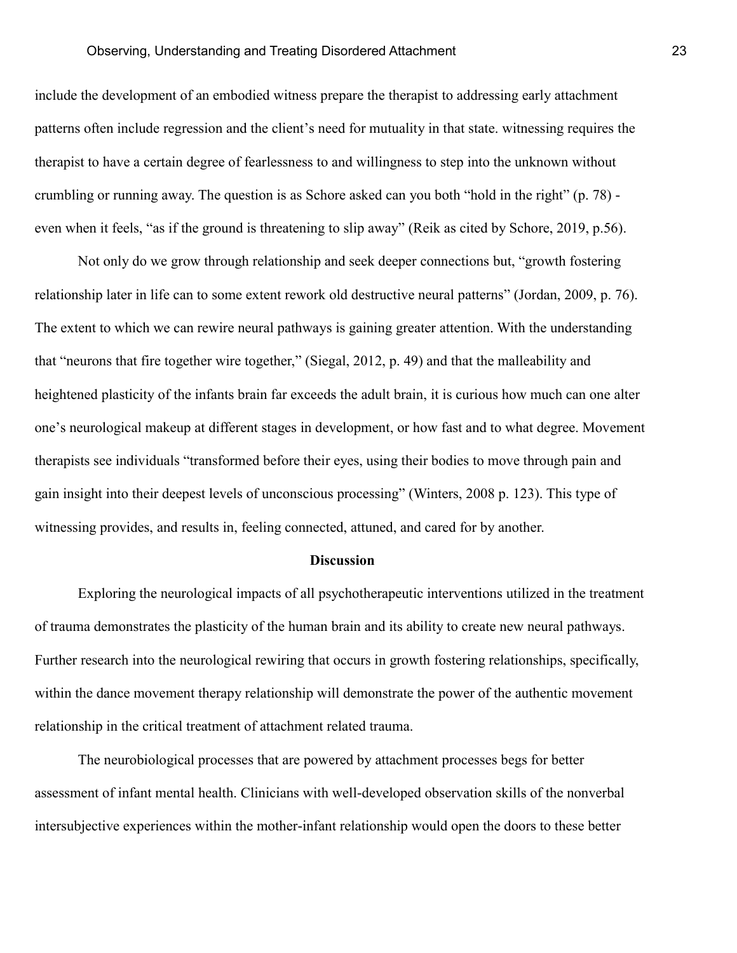#### Observing, Understanding and Treating Disordered Attachment 23

include the development of an embodied witness prepare the therapist to addressing early attachment patterns often include regression and the client's need for mutuality in that state. witnessing requires the therapist to have a certain degree of fearlessness to and willingness to step into the unknown without crumbling or running away. The question is as Schore asked can you both "hold in the right" (p. 78) even when it feels, "as if the ground is threatening to slip away" (Reik as cited by Schore, 2019, p.56).

Not only do we grow through relationship and seek deeper connections but, "growth fostering relationship later in life can to some extent rework old destructive neural patterns" (Jordan, 2009, p. 76). The extent to which we can rewire neural pathways is gaining greater attention. With the understanding that "neurons that fire together wire together," (Siegal, 2012, p. 49) and that the malleability and heightened plasticity of the infants brain far exceeds the adult brain, it is curious how much can one alter one's neurological makeup at different stages in development, or how fast and to what degree. Movement therapists see individuals "transformed before their eyes, using their bodies to move through pain and gain insight into their deepest levels of unconscious processing" (Winters, 2008 p. 123). This type of witnessing provides, and results in, feeling connected, attuned, and cared for by another.

#### **Discussion**

Exploring the neurological impacts of all psychotherapeutic interventions utilized in the treatment of trauma demonstrates the plasticity of the human brain and its ability to create new neural pathways. Further research into the neurological rewiring that occurs in growth fostering relationships, specifically, within the dance movement therapy relationship will demonstrate the power of the authentic movement relationship in the critical treatment of attachment related trauma.

The neurobiological processes that are powered by attachment processes begs for better assessment of infant mental health. Clinicians with well-developed observation skills of the nonverbal intersubjective experiences within the mother-infant relationship would open the doors to these better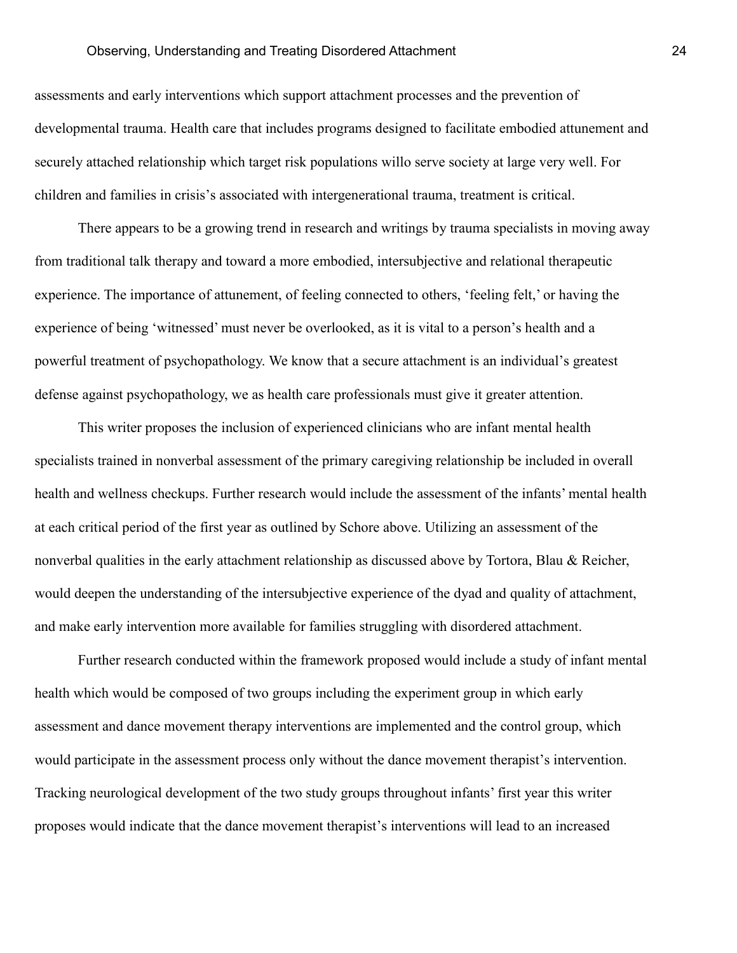assessments and early interventions which support attachment processes and the prevention of developmental trauma. Health care that includes programs designed to facilitate embodied attunement and securely attached relationship which target risk populations willo serve society at large very well. For children and families in crisis's associated with intergenerational trauma, treatment is critical.

There appears to be a growing trend in research and writings by trauma specialists in moving away from traditional talk therapy and toward a more embodied, intersubjective and relational therapeutic experience. The importance of attunement, of feeling connected to others, 'feeling felt,' or having the experience of being 'witnessed' must never be overlooked, as it is vital to a person's health and a powerful treatment of psychopathology. We know that a secure attachment is an individual's greatest defense against psychopathology, we as health care professionals must give it greater attention.

This writer proposes the inclusion of experienced clinicians who are infant mental health specialists trained in nonverbal assessment of the primary caregiving relationship be included in overall health and wellness checkups. Further research would include the assessment of the infants' mental health at each critical period of the first year as outlined by Schore above. Utilizing an assessment of the nonverbal qualities in the early attachment relationship as discussed above by Tortora, Blau & Reicher, would deepen the understanding of the intersubjective experience of the dyad and quality of attachment, and make early intervention more available for families struggling with disordered attachment.

Further research conducted within the framework proposed would include a study of infant mental health which would be composed of two groups including the experiment group in which early assessment and dance movement therapy interventions are implemented and the control group, which would participate in the assessment process only without the dance movement therapist's intervention. Tracking neurological development of the two study groups throughout infants' first year this writer proposes would indicate that the dance movement therapist's interventions will lead to an increased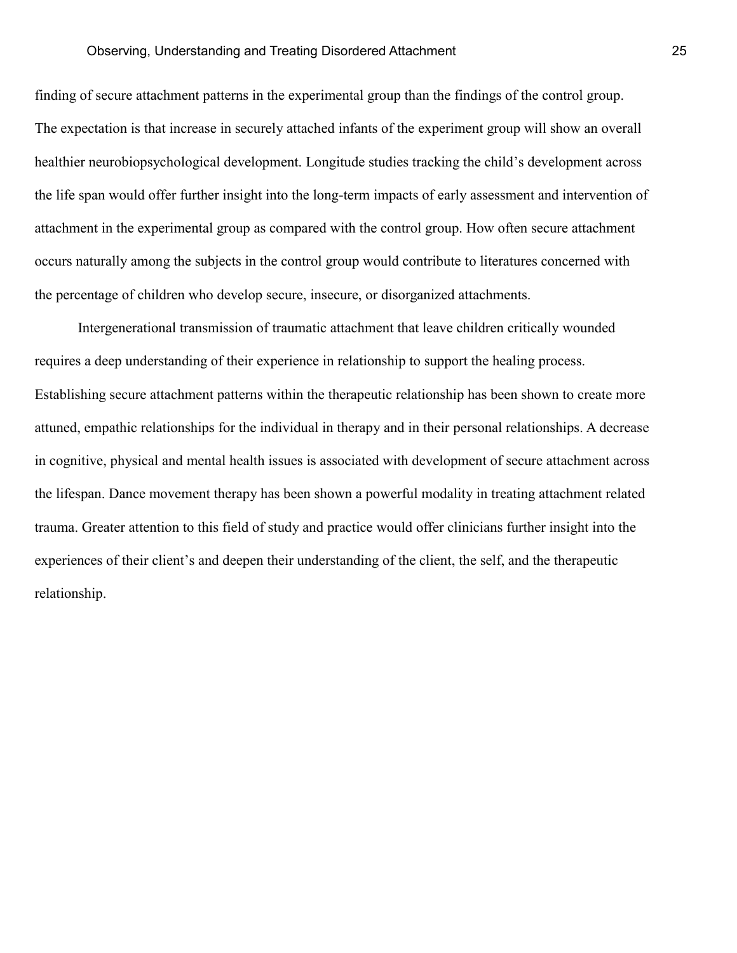finding of secure attachment patterns in the experimental group than the findings of the control group. The expectation is that increase in securely attached infants of the experiment group will show an overall healthier neurobiopsychological development. Longitude studies tracking the child's development across the life span would offer further insight into the long-term impacts of early assessment and intervention of attachment in the experimental group as compared with the control group. How often secure attachment occurs naturally among the subjects in the control group would contribute to literatures concerned with the percentage of children who develop secure, insecure, or disorganized attachments.

Intergenerational transmission of traumatic attachment that leave children critically wounded requires a deep understanding of their experience in relationship to support the healing process. Establishing secure attachment patterns within the therapeutic relationship has been shown to create more attuned, empathic relationships for the individual in therapy and in their personal relationships. A decrease in cognitive, physical and mental health issues is associated with development of secure attachment across the lifespan. Dance movement therapy has been shown a powerful modality in treating attachment related trauma. Greater attention to this field of study and practice would offer clinicians further insight into the experiences of their client's and deepen their understanding of the client, the self, and the therapeutic relationship.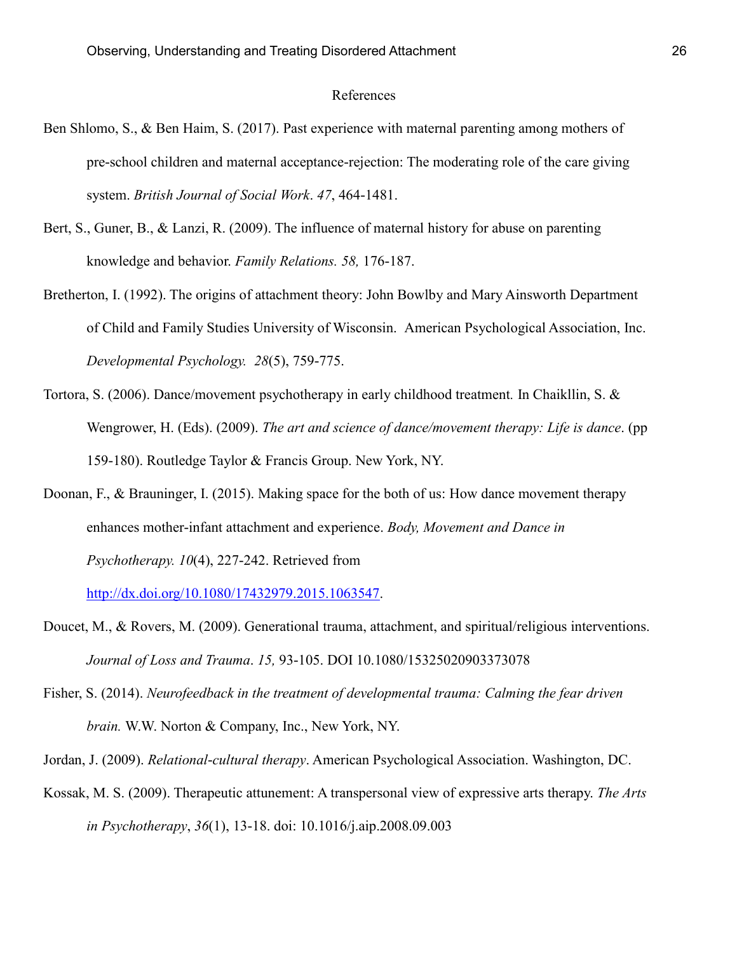#### References

- Ben Shlomo, S., & Ben Haim, S. (2017). Past experience with maternal parenting among mothers of pre-school children and maternal acceptance-rejection: The moderating role of the care giving system. *British Journal of Social Work*. *47*, 464-1481.
- Bert, S., Guner, B., & Lanzi, R. (2009). The influence of maternal history for abuse on parenting knowledge and behavior. *Family Relations. 58,* 176-187.
- Bretherton, I. (1992). The origins of attachment theory: John Bowlby and Mary Ainsworth Department of Child and Family Studies University of Wisconsin. American Psychological Association, Inc. *Developmental Psychology. 28*(5), 759-775.
- Tortora, S. (2006). Dance/movement psychotherapy in early childhood treatment*.* In Chaikllin, S. & Wengrower, H. (Eds). (2009). *The art and science of dance/movement therapy: Life is dance*. (pp 159-180). Routledge Taylor & Francis Group. New York, NY.
- Doonan, F., & Brauninger, I. (2015). Making space for the both of us: How dance movement therapy enhances mother-infant attachment and experience. *Body, Movement and Dance in Psychotherapy. 10*(4), 227-242. Retrieved from

[http://dx.doi.org/10.1080/17432979.2015.1063547.](http://dx.doi.org/10.1080/17432979.2015.1063547)

- Doucet, M., & Rovers, M. (2009). Generational trauma, attachment, and spiritual/religious interventions. *Journal of Loss and Trauma*. *15,* 93-105. DOI 10.1080/15325020903373078
- Fisher, S. (2014). *Neurofeedback in the treatment of developmental trauma: Calming the fear driven brain.* W.W. Norton & Company, Inc., New York, NY.
- Jordan, J. (2009). *Relational-cultural therapy*. American Psychological Association. Washington, DC.
- Kossak, M. S. (2009). Therapeutic attunement: A transpersonal view of expressive arts therapy. *The Arts in Psychotherapy*, *36*(1), 13-18. doi: 10.1016/j.aip.2008.09.003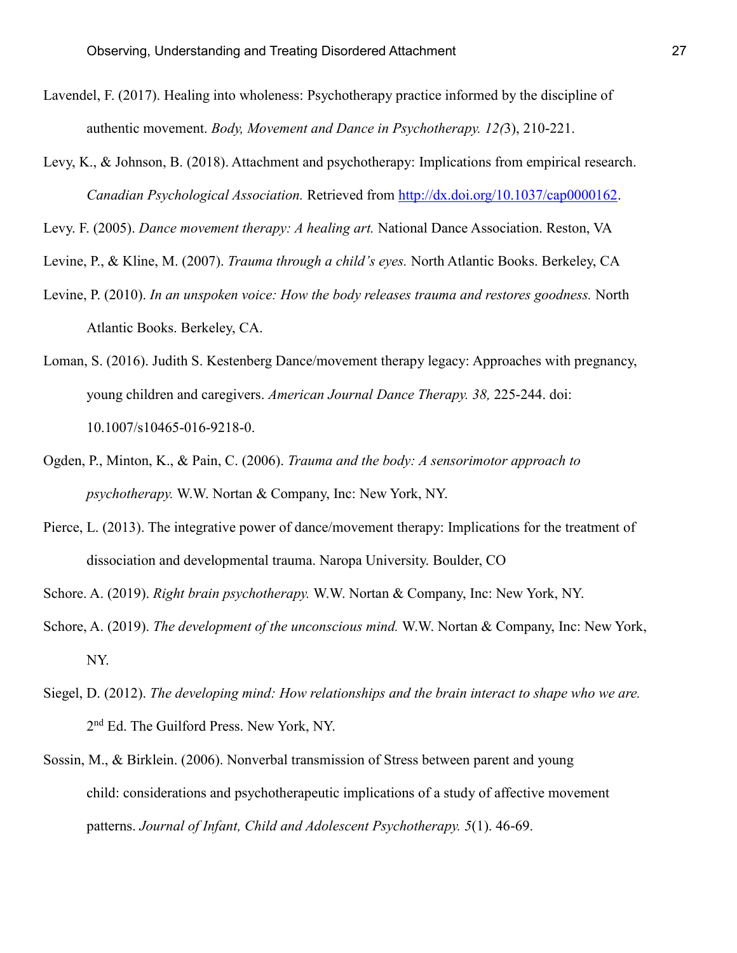- Lavendel, F. (2017). Healing into wholeness: Psychotherapy practice informed by the discipline of authentic movement. *Body, Movement and Dance in Psychotherapy. 12(*3), 210-221.
- Levy, K., & Johnson, B. (2018). Attachment and psychotherapy: Implications from empirical research. *Canadian Psychological Association.* Retrieved from [http://dx.doi.org/10.1037/cap0000162.](http://dx.doi.org/10.1037/cap0000162)

Levy. F. (2005). *Dance movement therapy: A healing art.* National Dance Association. Reston, VA

Levine, P., & Kline, M. (2007). *Trauma through a child's eyes.* North Atlantic Books. Berkeley, CA

- Levine, P. (2010). *In an unspoken voice: How the body releases trauma and restores goodness.* North Atlantic Books. Berkeley, CA.
- Loman, S. (2016). Judith S. Kestenberg Dance/movement therapy legacy: Approaches with pregnancy, young children and caregivers. *American Journal Dance Therapy. 38,* 225-244. doi: 10.1007/s10465-016-9218-0.
- Ogden, P., Minton, K., & Pain, C. (2006). *Trauma and the body: A sensorimotor approach to psychotherapy.* W.W. Nortan & Company, Inc: New York, NY.
- Pierce, L. (2013). The integrative power of dance/movement therapy: Implications for the treatment of dissociation and developmental trauma. Naropa University. Boulder, CO
- Schore. A. (2019). *Right brain psychotherapy.* W.W. Nortan & Company, Inc: New York, NY.
- Schore, A. (2019). *The development of the unconscious mind.* W.W. Nortan & Company, Inc: New York, NY.
- Siegel, D. (2012). *The developing mind: How relationships and the brain interact to shape who we are.* 2<sup>nd</sup> Ed. The Guilford Press. New York, NY.
- Sossin, M., & Birklein. (2006). Nonverbal transmission of Stress between parent and young child: considerations and psychotherapeutic implications of a study of affective movement patterns. *Journal of Infant, Child and Adolescent Psychotherapy. 5*(1). 46-69.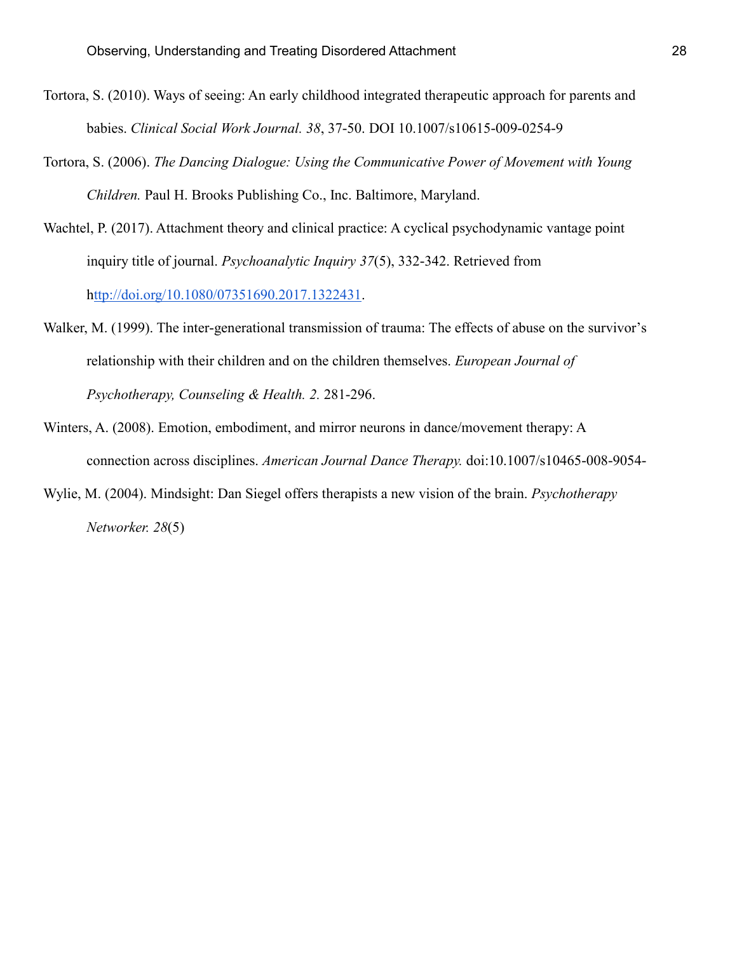- Tortora, S. (2010). Ways of seeing: An early childhood integrated therapeutic approach for parents and babies. *Clinical Social Work Journal. 38*, 37-50. DOI 10.1007/s10615-009-0254-9
- Tortora, S. (2006). *The Dancing Dialogue: Using the Communicative Power of Movement with Young Children.* Paul H. Brooks Publishing Co., Inc. Baltimore, Maryland.
- Wachtel, P. (2017). Attachment theory and clinical practice: A cyclical psychodynamic vantage point inquiry title of journal. *Psychoanalytic Inquiry 37*(5), 332-342. Retrieved from [http://doi.org/10.1080/07351690.2017.1322431.](http://doi.org/10.1080/07351690.2017.1322431)
- Walker, M. (1999). The inter-generational transmission of trauma: The effects of abuse on the survivor's relationship with their children and on the children themselves. *European Journal of Psychotherapy, Counseling & Health. 2.* 281-296.
- Winters, A. (2008). Emotion, embodiment, and mirror neurons in dance/movement therapy: A connection across disciplines. *American Journal Dance Therapy.* doi:10.1007/s10465-008-9054-
- Wylie, M. (2004). Mindsight: Dan Siegel offers therapists a new vision of the brain. *Psychotherapy Networker. 28*(5)